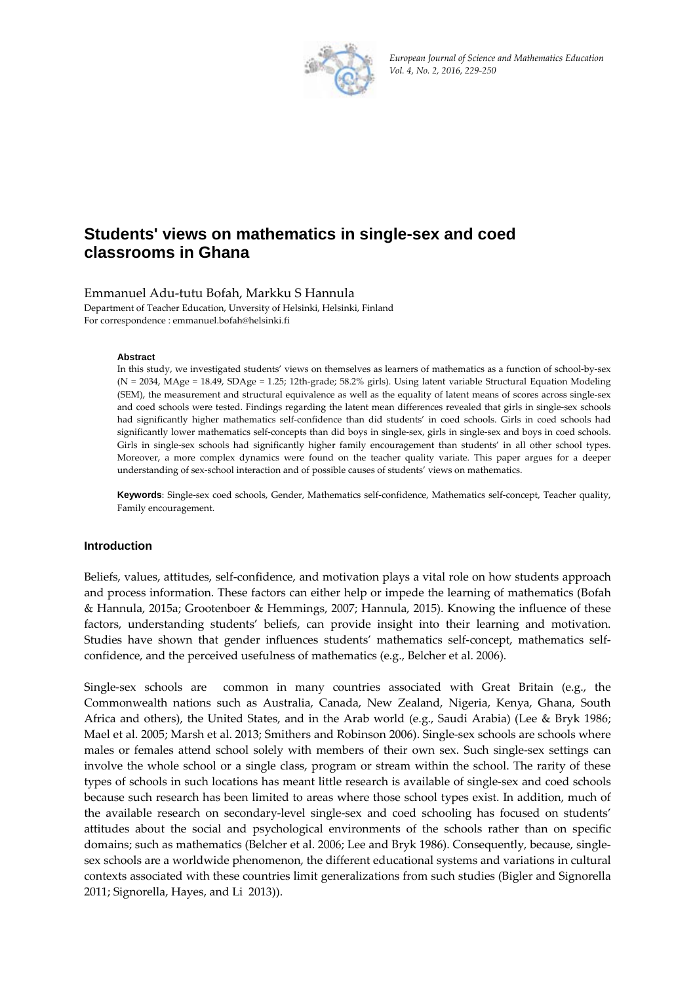

*European Journal of Science and Mathematics Education Vol. 4, No. 2, 2016, 229‐250*

# **Students' views on mathematics in single-sex and coed classrooms in Ghana**

Emmanuel Adu‐tutu Bofah, Markku S Hannula

Department of Teacher Education, Unversity of Helsinki, Helsinki, Finland For correspondence : emmanuel.bofah@helsinki.fi

#### **Abstract**

In this study, we investigated students' views on themselves as learners of mathematics as a function of school-by-sex (N = 2034, MAge = 18.49, SDAge = 1.25; 12th‐grade; 58.2% girls). Using latent variable Structural Equation Modeling (SEM), the measurement and structural equivalence as well as the equality of latent means of scores across single‐sex and coed schools were tested. Findings regarding the latent mean differences revealed that girls in single-sex schools had significantly higher mathematics self-confidence than did students' in coed schools. Girls in coed schools had significantly lower mathematics self-concepts than did boys in single-sex, girls in single-sex and boys in coed schools. Girls in single-sex schools had significantly higher family encouragement than students' in all other school types. Moreover, a more complex dynamics were found on the teacher quality variate. This paper argues for a deeper understanding of sex‐school interaction and of possible causes of students' views on mathematics.

Keywords: Single-sex coed schools, Gender, Mathematics self-confidence, Mathematics self-concept, Teacher quality, Family encouragement.

#### **Introduction**

Beliefs, values, attitudes, self‐confidence, and motivation plays a vital role on how students approach and process information. These factors can either help or impede the learning of mathematics (Bofah & Hannula, 2015a; Grootenboer & Hemmings, 2007; Hannula, 2015). Knowing the influence of these factors, understanding students' beliefs, can provide insight into their learning and motivation. Studies have shown that gender influences students' mathematics self‐concept, mathematics self‐ confidence, and the perceived usefulness of mathematics (e.g., Belcher et al. 2006).

Single-sex schools are common in many countries associated with Great Britain (e.g., the Commonwealth nations such as Australia, Canada, New Zealand, Nigeria, Kenya, Ghana, South Africa and others), the United States, and in the Arab world (e.g., Saudi Arabia) (Lee & Bryk 1986; Mael et al. 2005; Marsh et al. 2013; Smithers and Robinson 2006). Single-sex schools are schools where males or females attend school solely with members of their own sex. Such single-sex settings can involve the whole school or a single class, program or stream within the school. The rarity of these types of schools in such locations has meant little research is available of single‐sex and coed schools because such research has been limited to areas where those school types exist. In addition, much of the available research on secondary‐level single‐sex and coed schooling has focused on students' attitudes about the social and psychological environments of the schools rather than on specific domains; such as mathematics (Belcher et al. 2006; Lee and Bryk 1986). Consequently, because, singlesex schools are a worldwide phenomenon, the different educational systems and variations in cultural contexts associated with these countries limit generalizations from such studies (Bigler and Signorella 2011; Signorella, Hayes, and Li 2013)).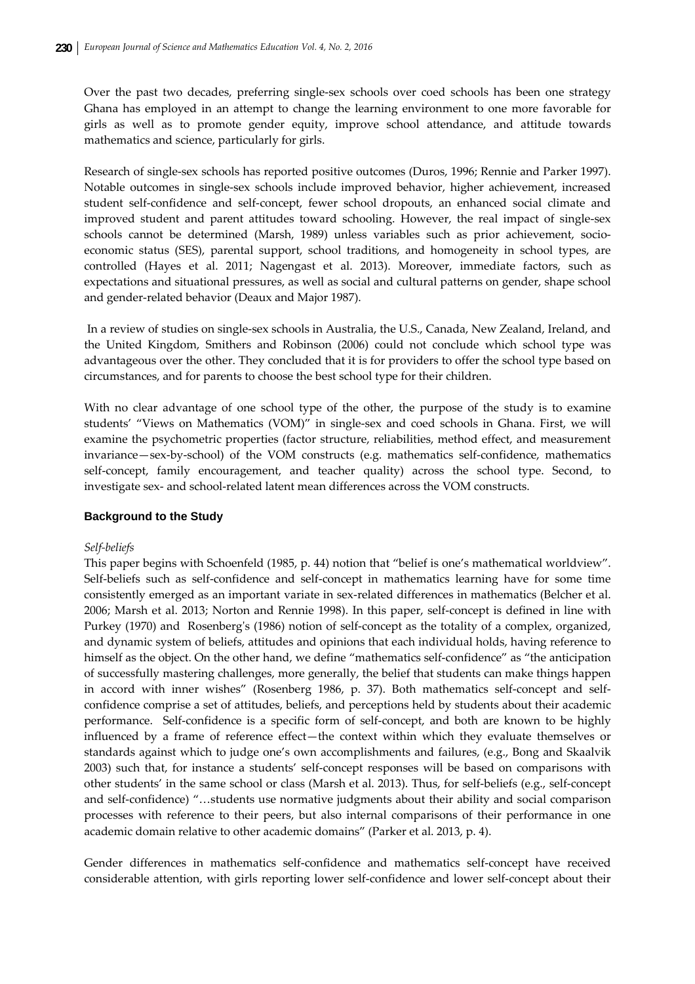Over the past two decades, preferring single-sex schools over coed schools has been one strategy Ghana has employed in an attempt to change the learning environment to one more favorable for girls as well as to promote gender equity, improve school attendance, and attitude towards mathematics and science, particularly for girls.

Research of single‐sex schools has reported positive outcomes (Duros, 1996; Rennie and Parker 1997). Notable outcomes in single‐sex schools include improved behavior, higher achievement, increased student self‐confidence and self‐concept, fewer school dropouts, an enhanced social climate and improved student and parent attitudes toward schooling. However, the real impact of single-sex schools cannot be determined (Marsh, 1989) unless variables such as prior achievement, socioeconomic status (SES), parental support, school traditions, and homogeneity in school types, are controlled (Hayes et al. 2011; Nagengast et al. 2013). Moreover, immediate factors, such as expectations and situational pressures, as well as social and cultural patterns on gender, shape school and gender‐related behavior (Deaux and Major 1987).

In a review of studies on single‐sex schools in Australia, the U.S., Canada, New Zealand, Ireland, and the United Kingdom, Smithers and Robinson (2006) could not conclude which school type was advantageous over the other. They concluded that it is for providers to offer the school type based on circumstances, and for parents to choose the best school type for their children.

With no clear advantage of one school type of the other, the purpose of the study is to examine students' "Views on Mathematics (VOM)" in single-sex and coed schools in Ghana. First, we will examine the psychometric properties (factor structure, reliabilities, method effect, and measurement invariance—sex-by-school) of the VOM constructs (e.g. mathematics self-confidence, mathematics self‐concept, family encouragement, and teacher quality) across the school type. Second, to investigate sex‐ and school‐related latent mean differences across the VOM constructs.

# **Background to the Study**

# *Self‐beliefs*

This paper begins with Schoenfeld (1985, p. 44) notion that "belief is one's mathematical worldview". Self-beliefs such as self-confidence and self-concept in mathematics learning have for some time consistently emerged as an important variate in sex‐related differences in mathematics (Belcher et al. 2006; Marsh et al. 2013; Norton and Rennie 1998). In this paper, self‐concept is defined in line with Purkey (1970) and Rosenberg's (1986) notion of self-concept as the totality of a complex, organized, and dynamic system of beliefs, attitudes and opinions that each individual holds, having reference to himself as the object. On the other hand, we define "mathematics self-confidence" as "the anticipation of successfully mastering challenges, more generally, the belief that students can make things happen in accord with inner wishes" (Rosenberg 1986, p. 37). Both mathematics self-concept and selfconfidence comprise a set of attitudes, beliefs, and perceptions held by students about their academic performance. Self-confidence is a specific form of self-concept, and both are known to be highly influenced by a frame of reference effect—the context within which they evaluate themselves or standards against which to judge one's own accomplishments and failures, (e.g., Bong and Skaalvik 2003) such that, for instance a students' self-concept responses will be based on comparisons with other students' in the same school or class (Marsh et al. 2013). Thus, for self‐beliefs (e.g., self‐concept and self‐confidence) "…students use normative judgments about their ability and social comparison processes with reference to their peers, but also internal comparisons of their performance in one academic domain relative to other academic domains" (Parker et al. 2013, p. 4).

Gender differences in mathematics self‐confidence and mathematics self‐concept have received considerable attention, with girls reporting lower self‐confidence and lower self‐concept about their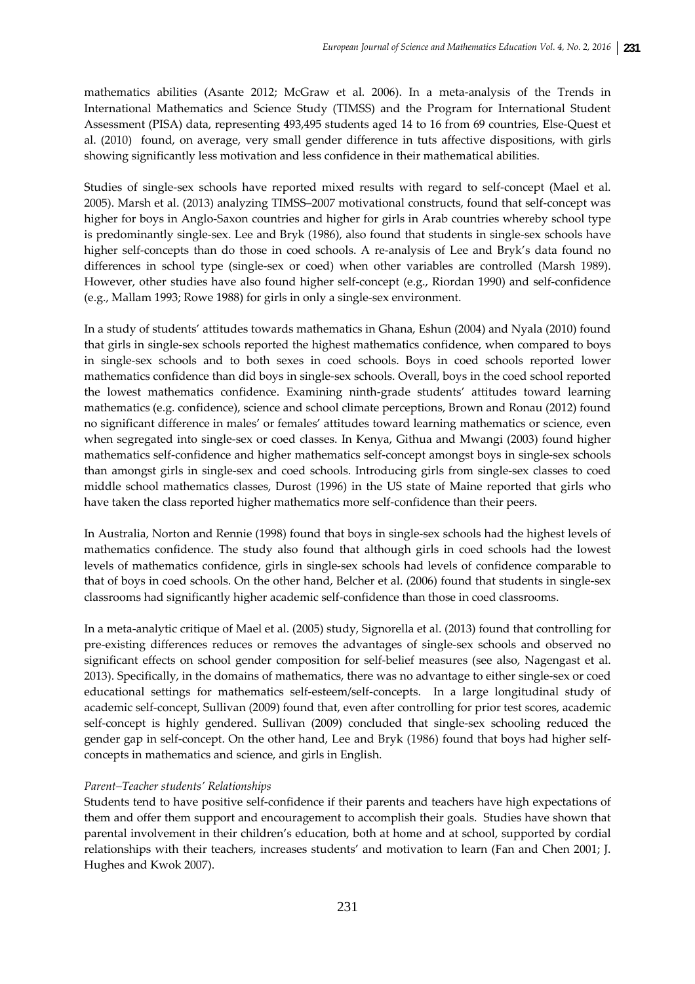mathematics abilities (Asante 2012; McGraw et al. 2006). In a meta-analysis of the Trends in International Mathematics and Science Study (TIMSS) and the Program for International Student Assessment (PISA) data, representing 493,495 students aged 14 to 16 from 69 countries, Else‐Quest et al. (2010) found, on average, very small gender difference in tuts affective dispositions, with girls showing significantly less motivation and less confidence in their mathematical abilities.

Studies of single-sex schools have reported mixed results with regard to self-concept (Mael et al. 2005). Marsh et al. (2013) analyzing TIMSS–2007 motivational constructs, found that self‐concept was higher for boys in Anglo-Saxon countries and higher for girls in Arab countries whereby school type is predominantly single‐sex. Lee and Bryk (1986), also found that students in single‐sex schools have higher self-concepts than do those in coed schools. A re-analysis of Lee and Bryk's data found no differences in school type (single‐sex or coed) when other variables are controlled (Marsh 1989). However, other studies have also found higher self-concept (e.g., Riordan 1990) and self-confidence (e.g., Mallam 1993; Rowe 1988) for girls in only a single‐sex environment.

In a study of students' attitudes towards mathematics in Ghana, Eshun (2004) and Nyala (2010) found that girls in single‐sex schools reported the highest mathematics confidence, when compared to boys in single‐sex schools and to both sexes in coed schools. Boys in coed schools reported lower mathematics confidence than did boys in single‐sex schools. Overall, boys in the coed school reported the lowest mathematics confidence. Examining ninth‐grade students' attitudes toward learning mathematics (e.g. confidence), science and school climate perceptions, Brown and Ronau (2012) found no significant difference in males' or females' attitudes toward learning mathematics or science, even when segregated into single‐sex or coed classes. In Kenya, Githua and Mwangi (2003) found higher mathematics self‐confidence and higher mathematics self‐concept amongst boys in single‐sex schools than amongst girls in single‐sex and coed schools. Introducing girls from single‐sex classes to coed middle school mathematics classes, Durost (1996) in the US state of Maine reported that girls who have taken the class reported higher mathematics more self-confidence than their peers.

In Australia, Norton and Rennie (1998) found that boys in single‐sex schools had the highest levels of mathematics confidence. The study also found that although girls in coed schools had the lowest levels of mathematics confidence, girls in single‐sex schools had levels of confidence comparable to that of boys in coed schools. On the other hand, Belcher et al. (2006) found that students in single-sex classrooms had significantly higher academic self‐confidence than those in coed classrooms.

In a meta-analytic critique of Mael et al. (2005) study, Signorella et al. (2013) found that controlling for pre‐existing differences reduces or removes the advantages of single‐sex schools and observed no significant effects on school gender composition for self-belief measures (see also, Nagengast et al. 2013). Specifically, in the domains of mathematics, there was no advantage to either single‐sex or coed educational settings for mathematics self‐esteem/self‐concepts. In a large longitudinal study of academic self‐concept, Sullivan (2009) found that, even after controlling for prior test scores, academic self-concept is highly gendered. Sullivan (2009) concluded that single-sex schooling reduced the gender gap in self-concept. On the other hand, Lee and Bryk (1986) found that boys had higher selfconcepts in mathematics and science, and girls in English.

# *Parent–Teacher students' Relationships*

Students tend to have positive self‐confidence if their parents and teachers have high expectations of them and offer them support and encouragement to accomplish their goals. Studies have shown that parental involvement in their children's education, both at home and at school, supported by cordial relationships with their teachers, increases students' and motivation to learn (Fan and Chen 2001; J. Hughes and Kwok 2007).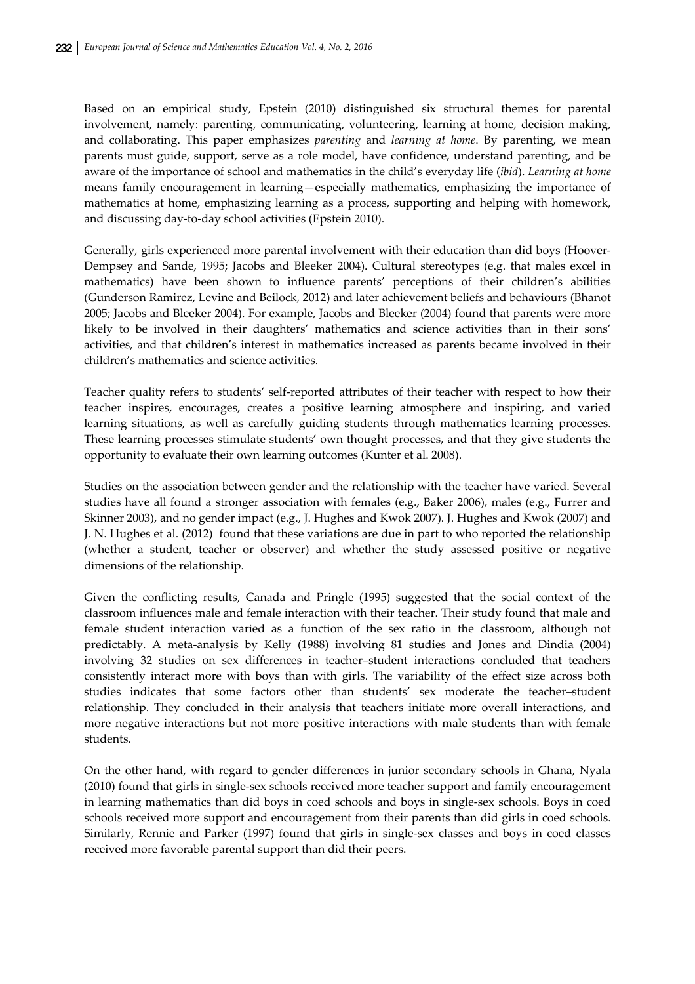Based on an empirical study, Epstein (2010) distinguished six structural themes for parental involvement, namely: parenting, communicating, volunteering, learning at home, decision making, and collaborating. This paper emphasizes *parenting* and *learning at home*. By parenting, we mean parents must guide, support, serve as a role model, have confidence, understand parenting, and be aware of the importance of school and mathematics in the child's everyday life (*ibid*). *Learning at home* means family encouragement in learning—especially mathematics, emphasizing the importance of mathematics at home, emphasizing learning as a process, supporting and helping with homework, and discussing day‐to‐day school activities (Epstein 2010).

Generally, girls experienced more parental involvement with their education than did boys (Hoover-Dempsey and Sande, 1995; Jacobs and Bleeker 2004). Cultural stereotypes (e.g. that males excel in mathematics) have been shown to influence parents' perceptions of their children's abilities (Gunderson Ramirez, Levine and Beilock, 2012) and later achievement beliefs and behaviours (Bhanot 2005; Jacobs and Bleeker 2004). For example, Jacobs and Bleeker (2004) found that parents were more likely to be involved in their daughters' mathematics and science activities than in their sons' activities, and that children's interest in mathematics increased as parents became involved in their children's mathematics and science activities.

Teacher quality refers to students' self-reported attributes of their teacher with respect to how their teacher inspires, encourages, creates a positive learning atmosphere and inspiring, and varied learning situations, as well as carefully guiding students through mathematics learning processes. These learning processes stimulate students' own thought processes, and that they give students the opportunity to evaluate their own learning outcomes (Kunter et al. 2008).

Studies on the association between gender and the relationship with the teacher have varied. Several studies have all found a stronger association with females (e.g., Baker 2006), males (e.g., Furrer and Skinner 2003), and no gender impact (e.g., J. Hughes and Kwok 2007). J. Hughes and Kwok (2007) and J. N. Hughes et al. (2012) found that these variations are due in part to who reported the relationship (whether a student, teacher or observer) and whether the study assessed positive or negative dimensions of the relationship.

Given the conflicting results, Canada and Pringle (1995) suggested that the social context of the classroom influences male and female interaction with their teacher. Their study found that male and female student interaction varied as a function of the sex ratio in the classroom, although not predictably. A meta‐analysis by Kelly (1988) involving 81 studies and Jones and Dindia (2004) involving 32 studies on sex differences in teacher–student interactions concluded that teachers consistently interact more with boys than with girls. The variability of the effect size across both studies indicates that some factors other than students' sex moderate the teacher–student relationship. They concluded in their analysis that teachers initiate more overall interactions, and more negative interactions but not more positive interactions with male students than with female students.

On the other hand, with regard to gender differences in junior secondary schools in Ghana, Nyala (2010) found that girls in single‐sex schools received more teacher support and family encouragement in learning mathematics than did boys in coed schools and boys in single‐sex schools. Boys in coed schools received more support and encouragement from their parents than did girls in coed schools. Similarly, Rennie and Parker (1997) found that girls in single‐sex classes and boys in coed classes received more favorable parental support than did their peers.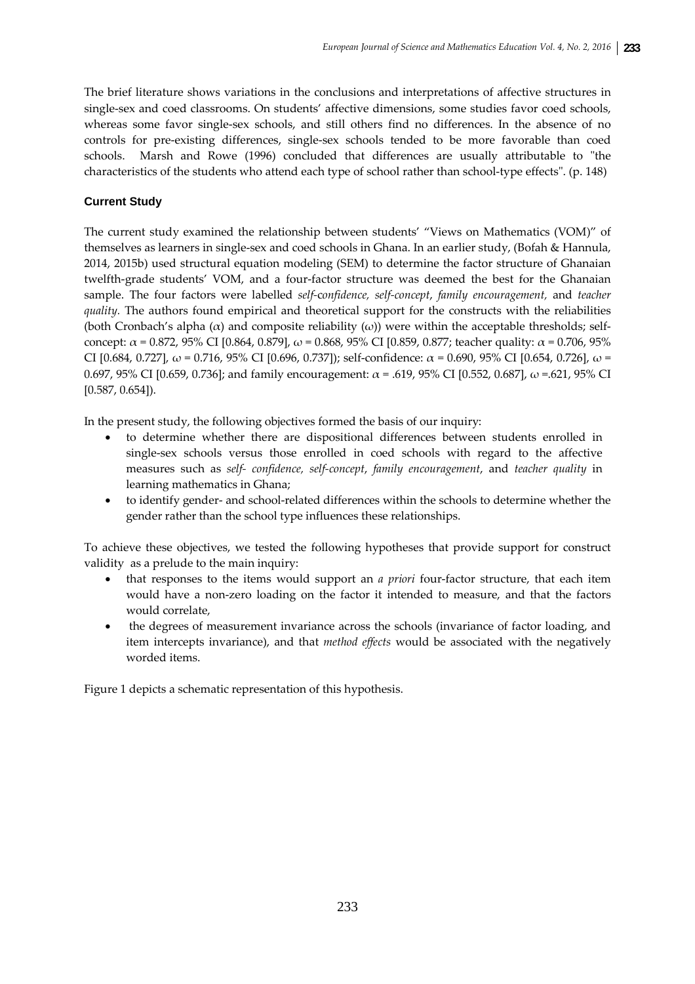The brief literature shows variations in the conclusions and interpretations of affective structures in single-sex and coed classrooms. On students' affective dimensions, some studies favor coed schools, whereas some favor single-sex schools, and still others find no differences. In the absence of no controls for pre‐existing differences, single‐sex schools tended to be more favorable than coed schools. Marsh and Rowe (1996) concluded that differences are usually attributable to "the characteristics of the students who attend each type of school rather than school-type effects". (p. 148)

# **Current Study**

The current study examined the relationship between students' "Views on Mathematics (VOM)" of themselves as learners in single‐sex and coed schools in Ghana. In an earlier study, (Bofah & Hannula, 2014, 2015b) used structural equation modeling (SEM) to determine the factor structure of Ghanaian twelfth-grade students' VOM, and a four-factor structure was deemed the best for the Ghanaian sample. The four factors were labelled *self‐*c*onfidence, self‐concept*, *family encouragement,* and *teacher quality*. The authors found empirical and theoretical support for the constructs with the reliabilities (both Cronbach's alpha  $(\alpha)$  and composite reliability  $(\omega)$ ) were within the acceptable thresholds; selfconcept:  $\alpha$  = 0.872, 95% CI [0.864, 0.879],  $\omega$  = 0.868, 95% CI [0.859, 0.877; teacher quality:  $\alpha$  = 0.706, 95% CI [0.684, 0.727], ω = 0.716, 95% CI [0.696, 0.737]); self-confidence: α = 0.690, 95% CI [0.654, 0.726], ω = 0.697, 95% CI [0.659, 0.736]; and family encouragement: α = .619, 95% CI [0.552, 0.687], ω =.621, 95% CI [0.587, 0.654]).

In the present study, the following objectives formed the basis of our inquiry:

- to determine whether there are dispositional differences between students enrolled in single‐sex schools versus those enrolled in coed schools with regard to the affective measures such as *self‐ confidence, self‐concept*, *family encouragement*, and *teacher quality* in learning mathematics in Ghana;
- to identify gender‐ and school‐related differences within the schools to determine whether the gender rather than the school type influences these relationships.

To achieve these objectives, we tested the following hypotheses that provide support for construct validity as a prelude to the main inquiry:

- that responses to the items would support an *a priori* four-factor structure, that each item would have a non‐zero loading on the factor it intended to measure, and that the factors would correlate,
- the degrees of measurement invariance across the schools (invariance of factor loading, and item intercepts invariance), and that *method effects* would be associated with the negatively worded items.

Figure 1 depicts a schematic representation of this hypothesis.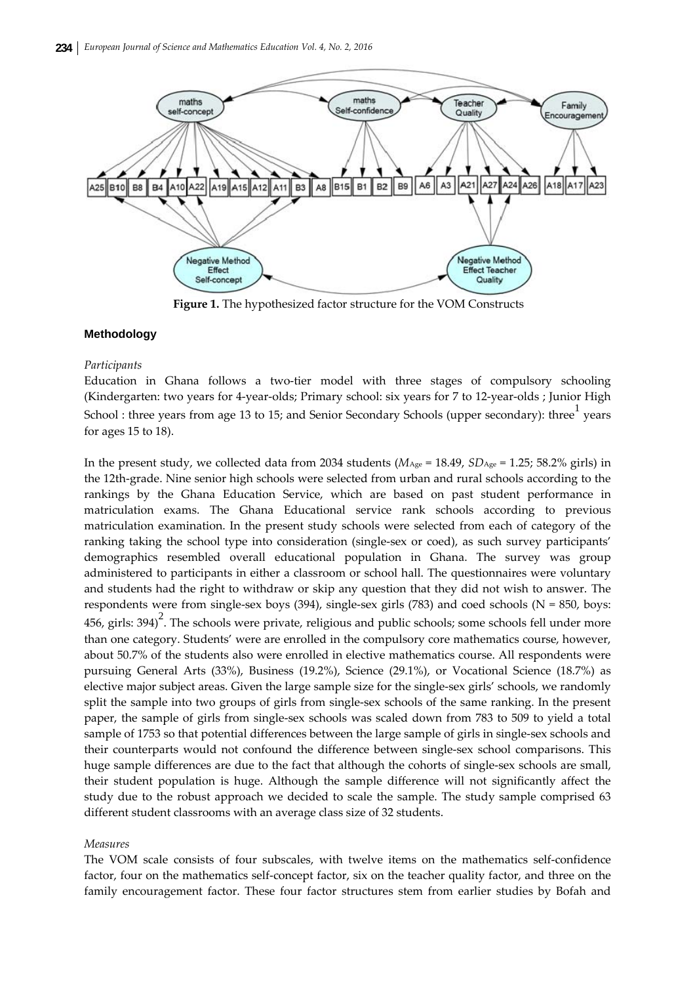

**Figure 1.** The hypothesized factor structure for the VOM Constructs

## **Methodology**

#### *Participants*

Education in Ghana follows a two-tier model with three stages of compulsory schooling (Kindergarten: two years for 4‐year‐olds; Primary school: six years for 7 to 12‐year‐olds ; Junior High School : three years from age 13 to 15; and Senior Secondary Schools (upper secondary): three  $\frac{1}{1}$  years for ages 15 to 18).

In the present study, we collected data from 2034 students ( $M_{\text{Age}} = 18.49$ ,  $SD_{\text{Age}} = 1.25$ ; 58.2% girls) in the 12th-grade. Nine senior high schools were selected from urban and rural schools according to the rankings by the Ghana Education Service, which are based on past student performance in matriculation exams. The Ghana Educational service rank schools according to previous matriculation examination. In the present study schools were selected from each of category of the ranking taking the school type into consideration (single‐sex or coed), as such survey participants' demographics resembled overall educational population in Ghana. The survey was group administered to participants in either a classroom or school hall. The questionnaires were voluntary and students had the right to withdraw or skip any question that they did not wish to answer. The respondents were from single‐sex boys (394), single‐sex girls (783) and coed schools (N = 850, boys:  $456$ , girls: 394)<sup>2</sup>. The schools were private, religious and public schools; some schools fell under more than one category. Students' were are enrolled in the compulsory core mathematics course, however, about 50.7% of the students also were enrolled in elective mathematics course. All respondents were pursuing General Arts (33%), Business (19.2%), Science (29.1%), or Vocational Science (18.7%) as elective major subject areas. Given the large sample size for the single‐sex girls' schools, we randomly split the sample into two groups of girls from single-sex schools of the same ranking. In the present paper, the sample of girls from single‐sex schools was scaled down from 783 to 509 to yield a total sample of 1753 so that potential differences between the large sample of girls in single-sex schools and their counterparts would not confound the difference between single‐sex school comparisons. This huge sample differences are due to the fact that although the cohorts of single-sex schools are small, their student population is huge. Although the sample difference will not significantly affect the study due to the robust approach we decided to scale the sample. The study sample comprised 63 different student classrooms with an average class size of 32 students.

#### *Measures*

The VOM scale consists of four subscales, with twelve items on the mathematics self‐confidence factor, four on the mathematics self-concept factor, six on the teacher quality factor, and three on the family encouragement factor. These four factor structures stem from earlier studies by Bofah and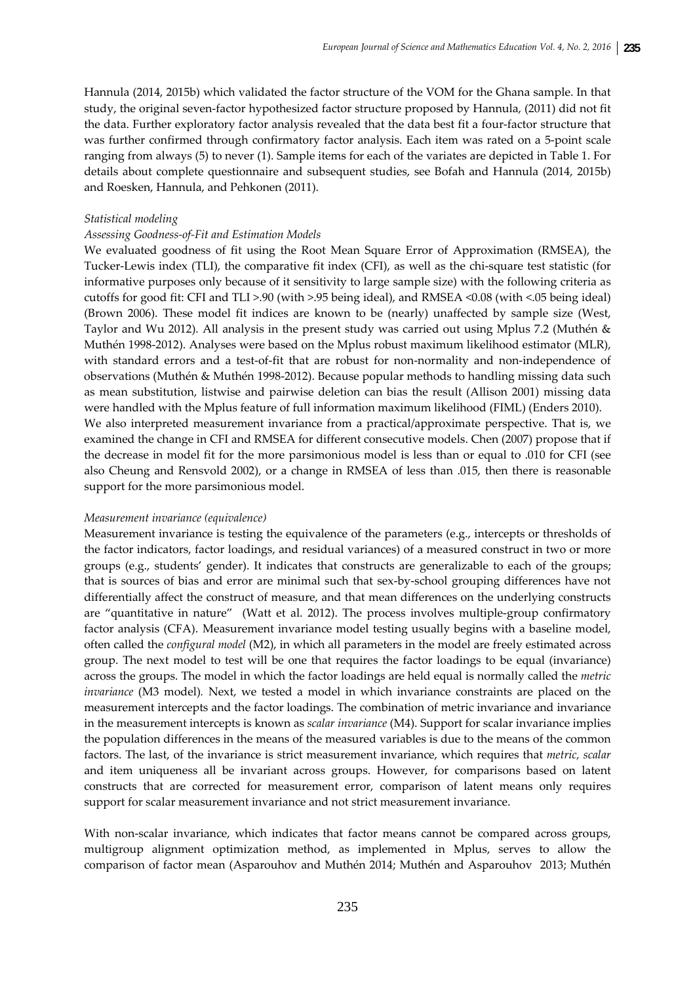Hannula (2014, 2015b) which validated the factor structure of the VOM for the Ghana sample. In that study, the original seven‐factor hypothesized factor structure proposed by Hannula, (2011) did not fit the data. Further exploratory factor analysis revealed that the data best fit a four‐factor structure that was further confirmed through confirmatory factor analysis. Each item was rated on a 5‐point scale ranging from always (5) to never (1). Sample items for each of the variates are depicted in Table 1. For details about complete questionnaire and subsequent studies, see Bofah and Hannula (2014, 2015b) and Roesken, Hannula, and Pehkonen (2011).

## *Statistical modeling*

## *Assessing Goodness‐of‐Fit and Estimation Models*

We evaluated goodness of fit using the Root Mean Square Error of Approximation (RMSEA), the Tucker-Lewis index (TLI), the comparative fit index (CFI), as well as the chi-square test statistic (for informative purposes only because of it sensitivity to large sample size) with the following criteria as cutoffs for good fit: CFI and TLI >.90 (with >.95 being ideal), and RMSEA <0.08 (with <.05 being ideal) (Brown 2006). These model fit indices are known to be (nearly) unaffected by sample size (West, Taylor and Wu 2012). All analysis in the present study was carried out using Mplus 7.2 (Muthén & Muthén 1998‐2012). Analyses were based on the Mplus robust maximum likelihood estimator (MLR), with standard errors and a test-of-fit that are robust for non-normality and non-independence of observations (Muthén & Muthén 1998‐2012). Because popular methods to handling missing data such as mean substitution, listwise and pairwise deletion can bias the result (Allison 2001) missing data were handled with the Mplus feature of full information maximum likelihood (FIML) (Enders 2010). We also interpreted measurement invariance from a practical/approximate perspective. That is, we examined the change in CFI and RMSEA for different consecutive models. Chen (2007) propose that if the decrease in model fit for the more parsimonious model is less than or equal to .010 for CFI (see also Cheung and Rensvold 2002), or a change in RMSEA of less than .015, then there is reasonable support for the more parsimonious model.

#### *Measurement invariance (equivalence)*

Measurement invariance is testing the equivalence of the parameters (e.g., intercepts or thresholds of the factor indicators, factor loadings, and residual variances) of a measured construct in two or more groups (e.g., students' gender). It indicates that constructs are generalizable to each of the groups; that is sources of bias and error are minimal such that sex‐by‐school grouping differences have not differentially affect the construct of measure, and that mean differences on the underlying constructs are "quantitative in nature" (Watt et al. 2012). The process involves multiple‐group confirmatory factor analysis (CFA). Measurement invariance model testing usually begins with a baseline model, often called the *configural model* (M2), in which all parameters in the model are freely estimated across group. The next model to test will be one that requires the factor loadings to be equal (invariance) across the groups. The model in which the factor loadings are held equal is normally called the *metric invariance* (M3 model)*.* Next, we tested a model in which invariance constraints are placed on the measurement intercepts and the factor loadings. The combination of metric invariance and invariance in the measurement intercepts is known as *scalar invariance* (M4). Support for scalar invariance implies the population differences in the means of the measured variables is due to the means of the common factors. The last, of the invariance is strict measurement invariance, which requires that *metric, scalar* and item uniqueness all be invariant across groups. However, for comparisons based on latent constructs that are corrected for measurement error, comparison of latent means only requires support for scalar measurement invariance and not strict measurement invariance.

With non-scalar invariance, which indicates that factor means cannot be compared across groups, multigroup alignment optimization method, as implemented in Mplus, serves to allow the comparison of factor mean (Asparouhov and Muthén 2014; Muthén and Asparouhov 2013; Muthén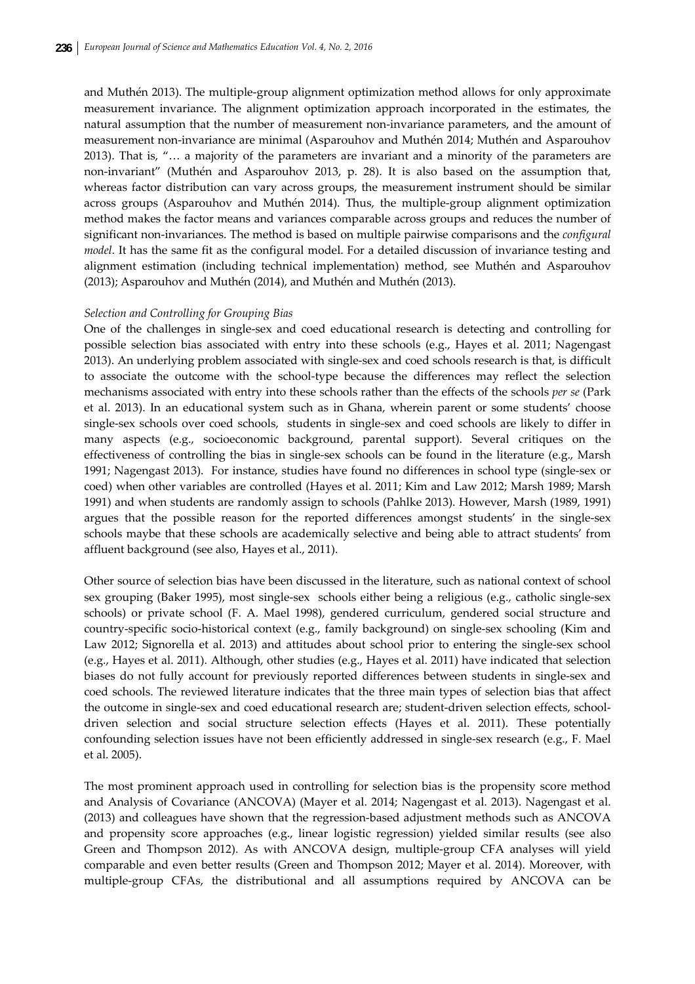and Muthén 2013). The multiple‐group alignment optimization method allows for only approximate measurement invariance. The alignment optimization approach incorporated in the estimates, the natural assumption that the number of measurement non‐invariance parameters, and the amount of measurement non‐invariance are minimal (Asparouhov and Muthén 2014; Muthén and Asparouhov 2013). That is, "… a majority of the parameters are invariant and a minority of the parameters are non‐invariant" (Muthén and Asparouhov 2013, p. 28). It is also based on the assumption that, whereas factor distribution can vary across groups, the measurement instrument should be similar across groups (Asparouhov and Muthén 2014). Thus, the multiple‐group alignment optimization method makes the factor means and variances comparable across groups and reduces the number of significant non‐invariances. The method is based on multiple pairwise comparisons and the *configural model*. It has the same fit as the configural model. For a detailed discussion of invariance testing and alignment estimation (including technical implementation) method, see Muthén and Asparouhov (2013); Asparouhov and Muthén (2014), and Muthén and Muthén (2013).

## *Selection and Controlling for Grouping Bias*

One of the challenges in single‐sex and coed educational research is detecting and controlling for possible selection bias associated with entry into these schools (e.g., Hayes et al. 2011; Nagengast 2013). An underlying problem associated with single‐sex and coed schools research is that, is difficult to associate the outcome with the school-type because the differences may reflect the selection mechanisms associated with entry into these schools rather than the effects of the schools *per se* (Park et al. 2013). In an educational system such as in Ghana, wherein parent or some students' choose single-sex schools over coed schools, students in single-sex and coed schools are likely to differ in many aspects (e.g., socioeconomic background, parental support). Several critiques on the effectiveness of controlling the bias in single‐sex schools can be found in the literature (e.g., Marsh 1991; Nagengast 2013). For instance, studies have found no differences in school type (single‐sex or coed) when other variables are controlled (Hayes et al. 2011; Kim and Law 2012; Marsh 1989; Marsh 1991) and when students are randomly assign to schools (Pahlke 2013). However, Marsh (1989, 1991) argues that the possible reason for the reported differences amongst students' in the single-sex schools maybe that these schools are academically selective and being able to attract students' from affluent background (see also, Hayes et al., 2011).

Other source of selection bias have been discussed in the literature, such as national context of school sex grouping (Baker 1995), most single-sex schools either being a religious (e.g., catholic single-sex schools) or private school (F. A. Mael 1998), gendered curriculum, gendered social structure and country‐specific socio‐historical context (e.g., family background) on single‐sex schooling (Kim and Law 2012; Signorella et al. 2013) and attitudes about school prior to entering the single-sex school (e.g., Hayes et al. 2011). Although, other studies (e.g., Hayes et al. 2011) have indicated that selection biases do not fully account for previously reported differences between students in single‐sex and coed schools. The reviewed literature indicates that the three main types of selection bias that affect the outcome in single-sex and coed educational research are; student-driven selection effects, schooldriven selection and social structure selection effects (Hayes et al. 2011). These potentially confounding selection issues have not been efficiently addressed in single‐sex research (e.g., F. Mael et al. 2005).

The most prominent approach used in controlling for selection bias is the propensity score method and Analysis of Covariance (ANCOVA) (Mayer et al. 2014; Nagengast et al. 2013). Nagengast et al. (2013) and colleagues have shown that the regression‐based adjustment methods such as ANCOVA and propensity score approaches (e.g., linear logistic regression) yielded similar results (see also Green and Thompson 2012). As with ANCOVA design, multiple‐group CFA analyses will yield comparable and even better results (Green and Thompson 2012; Mayer et al. 2014). Moreover, with multiple‐group CFAs, the distributional and all assumptions required by ANCOVA can be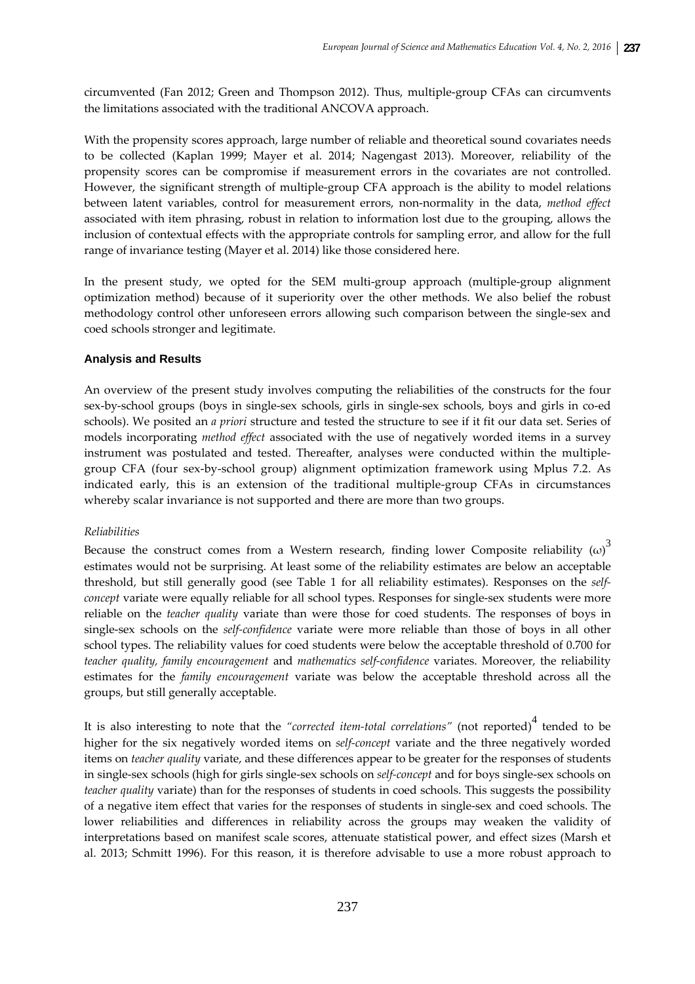circumvented (Fan 2012; Green and Thompson 2012). Thus, multiple‐group CFAs can circumvents the limitations associated with the traditional ANCOVA approach.

With the propensity scores approach, large number of reliable and theoretical sound covariates needs to be collected (Kaplan 1999; Mayer et al. 2014; Nagengast 2013). Moreover, reliability of the propensity scores can be compromise if measurement errors in the covariates are not controlled. However, the significant strength of multiple‐group CFA approach is the ability to model relations between latent variables, control for measurement errors, non‐normality in the data, *method effect* associated with item phrasing, robust in relation to information lost due to the grouping, allows the inclusion of contextual effects with the appropriate controls for sampling error, and allow for the full range of invariance testing (Mayer et al. 2014) like those considered here.

In the present study, we opted for the SEM multi-group approach (multiple-group alignment optimization method) because of it superiority over the other methods. We also belief the robust methodology control other unforeseen errors allowing such comparison between the single‐sex and coed schools stronger and legitimate.

## **Analysis and Results**

An overview of the present study involves computing the reliabilities of the constructs for the four sex-by-school groups (boys in single-sex schools, girls in single-sex schools, boys and girls in co-ed schools). We posited an *a priori* structure and tested the structure to see if it fit our data set. Series of models incorporating *method effect* associated with the use of negatively worded items in a survey instrument was postulated and tested. Thereafter, analyses were conducted within the multiplegroup CFA (four sex‐by‐school group) alignment optimization framework using Mplus 7.2. As indicated early, this is an extension of the traditional multiple‐group CFAs in circumstances whereby scalar invariance is not supported and there are more than two groups.

#### *Reliabilities*

Because the construct comes from a Western research, finding lower Composite reliability  $(\omega)^3$ estimates would not be surprising. At least some of the reliability estimates are below an acceptable threshold, but still generally good (see Table 1 for all reliability estimates). Responses on the *self‐ concept* variate were equally reliable for all school types. Responses for single-sex students were more reliable on the *teacher quality* variate than were those for coed students. The responses of boys in single‐sex schools on the *self‐confidence* variate were more reliable than those of boys in all other school types. The reliability values for coed students were below the acceptable threshold of 0.700 for *teacher quality, family encouragement* and *mathematics self‐confidence* variates. Moreover, the reliability estimates for the *family encouragement* variate was below the acceptable threshold across all the groups, but still generally acceptable.

It is also interesting to note that the "corrected item-total correlations" (not reported)<sup>4</sup> tended to be higher for the six negatively worded items on *self‐concept* variate and the three negatively worded items on *teacher quality* variate, and these differences appear to be greater for the responses of students in single‐sex schools (high for girls single‐sex schools on *self‐concept* and for boys single‐sex schools on *teacher quality* variate) than for the responses of students in coed schools. This suggests the possibility of a negative item effect that varies for the responses of students in single‐sex and coed schools. The lower reliabilities and differences in reliability across the groups may weaken the validity of interpretations based on manifest scale scores, attenuate statistical power, and effect sizes (Marsh et al. 2013; Schmitt 1996). For this reason, it is therefore advisable to use a more robust approach to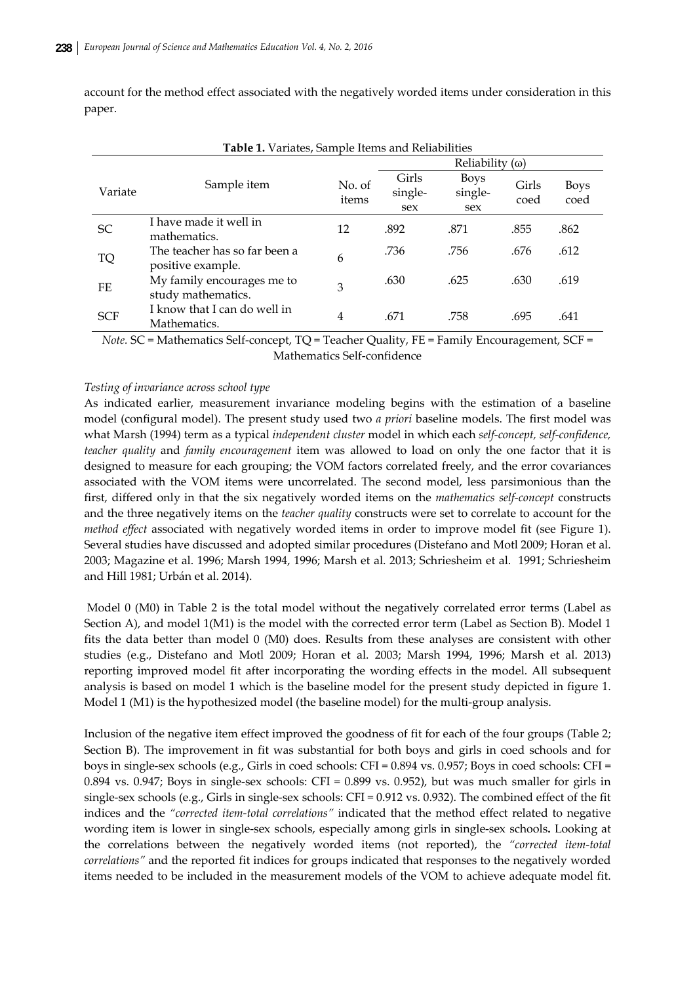account for the method effect associated with the negatively worded items under consideration in this paper.

| <b>Table 1.</b> Variates, Sample Items and Reliabilities |                                                    |                 |                         |                               |               |                     |  |
|----------------------------------------------------------|----------------------------------------------------|-----------------|-------------------------|-------------------------------|---------------|---------------------|--|
|                                                          |                                                    |                 | Reliability $(\omega)$  |                               |               |                     |  |
| Variate                                                  | Sample item                                        | No. of<br>items | Girls<br>single-<br>sex | <b>Boys</b><br>single-<br>sex | Girls<br>coed | <b>Boys</b><br>coed |  |
| <b>SC</b>                                                | I have made it well in<br>mathematics.             | 12              | .892                    | .871                          | .855          | .862                |  |
| TQ                                                       | The teacher has so far been a<br>positive example. | 6               | .736                    | .756                          | .676          | .612                |  |
| FE                                                       | My family encourages me to<br>study mathematics.   | 3               | .630                    | .625                          | .630          | .619                |  |
| <b>SCF</b>                                               | I know that I can do well in<br>Mathematics.       | 4               | .671                    | .758                          | .695          | .641                |  |

**Table 1.** Variates, Sample Items and Reliabilities

*Note.* SC = Mathematics Self-concept, TQ = Teacher Quality, FE = Family Encouragement, SCF = Mathematics Self‐confidence

## *Testing of invariance across school type*

As indicated earlier, measurement invariance modeling begins with the estimation of a baseline model (configural model). The present study used two *a priori* baseline models. The first model was what Marsh (1994) term as a typical *independent cluster* model in which each *self‐concept, self‐confidence, teacher quality* and *family encouragement* item was allowed to load on only the one factor that it is designed to measure for each grouping; the VOM factors correlated freely, and the error covariances associated with the VOM items were uncorrelated. The second model, less parsimonious than the first, differed only in that the six negatively worded items on the *mathematics self‐concept* constructs and the three negatively items on the *teacher quality* constructs were set to correlate to account for the *method effect* associated with negatively worded items in order to improve model fit (see Figure 1). Several studies have discussed and adopted similar procedures (Distefano and Motl 2009; Horan et al. 2003; Magazine et al. 1996; Marsh 1994, 1996; Marsh et al. 2013; Schriesheim et al. 1991; Schriesheim and Hill 1981; Urbán et al. 2014).

Model 0 (M0) in Table 2 is the total model without the negatively correlated error terms (Label as Section A), and model 1(M1) is the model with the corrected error term (Label as Section B). Model 1 fits the data better than model 0 (M0) does. Results from these analyses are consistent with other studies (e.g., Distefano and Motl 2009; Horan et al. 2003; Marsh 1994, 1996; Marsh et al. 2013) reporting improved model fit after incorporating the wording effects in the model. All subsequent analysis is based on model 1 which is the baseline model for the present study depicted in figure 1. Model 1 (M1) is the hypothesized model (the baseline model) for the multi-group analysis.

Inclusion of the negative item effect improved the goodness of fit for each of the four groups (Table 2; Section B). The improvement in fit was substantial for both boys and girls in coed schools and for boys in single-sex schools (e.g., Girls in coed schools: CFI =  $0.894$  vs. 0.957; Boys in coed schools: CFI = 0.894 vs. 0.947; Boys in single‐sex schools: CFI = 0.899 vs. 0.952), but was much smaller for girls in single-sex schools (e.g., Girls in single-sex schools: CFI = 0.912 vs. 0.932). The combined effect of the fit indices and the "corrected *item-total correlations"* indicated that the method effect related to negative wording item is lower in single‐sex schools, especially among girls in single‐sex schools**.** Looking at the correlations between the negatively worded items (not reported), the *"corrected item‐total correlations"* and the reported fit indices for groups indicated that responses to the negatively worded items needed to be included in the measurement models of the VOM to achieve adequate model fit.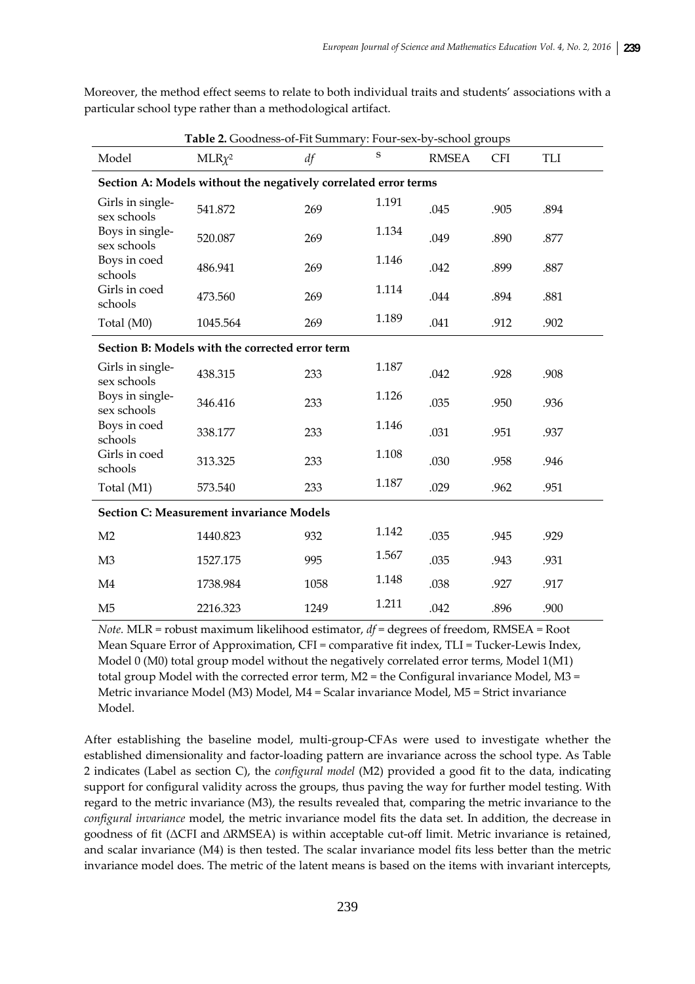Moreover, the method effect seems to relate to both individual traits and students' associations with a particular school type rather than a methodological artifact.

| Table 2. Goodness-of-Fit Summary: Four-sex-by-school groups |                                                                 |      |       |              |            |      |  |
|-------------------------------------------------------------|-----------------------------------------------------------------|------|-------|--------------|------------|------|--|
| Model                                                       | $MLR\chi^2$                                                     | df   |       | <b>RMSEA</b> | <b>CFI</b> | TLI  |  |
|                                                             | Section A: Models without the negatively correlated error terms |      |       |              |            |      |  |
| Girls in single-<br>sex schools                             | 541.872                                                         | 269  | 1.191 | .045         | .905       | .894 |  |
| Boys in single-<br>sex schools                              | 520.087                                                         | 269  | 1.134 | .049         | .890       | .877 |  |
| Boys in coed<br>schools                                     | 486.941                                                         | 269  | 1.146 | .042         | .899       | .887 |  |
| Girls in coed<br>schools                                    | 473.560                                                         | 269  | 1.114 | .044         | .894       | .881 |  |
| Total (M0)                                                  | 1045.564                                                        | 269  | 1.189 | .041         | .912       | .902 |  |
|                                                             | Section B: Models with the corrected error term                 |      |       |              |            |      |  |
| Girls in single-<br>sex schools                             | 438.315                                                         | 233  | 1.187 | .042         | .928       | .908 |  |
| Boys in single-<br>sex schools                              | 346.416                                                         | 233  | 1.126 | .035         | .950       | .936 |  |
| Boys in coed<br>schools                                     | 338.177                                                         | 233  | 1.146 | .031         | .951       | .937 |  |
| Girls in coed<br>schools                                    | 313.325                                                         | 233  | 1.108 | .030         | .958       | .946 |  |
| Total (M1)                                                  | 573.540                                                         | 233  | 1.187 | .029         | .962       | .951 |  |
| <b>Section C: Measurement invariance Models</b>             |                                                                 |      |       |              |            |      |  |
| M <sub>2</sub>                                              | 1440.823                                                        | 932  | 1.142 | .035         | .945       | .929 |  |
| M <sub>3</sub>                                              | 1527.175                                                        | 995  | 1.567 | .035         | .943       | .931 |  |
| M <sub>4</sub>                                              | 1738.984                                                        | 1058 | 1.148 | .038         | .927       | .917 |  |
| M <sub>5</sub>                                              | 2216.323                                                        | 1249 | 1.211 | .042         | .896       | .900 |  |

*Note.* MLR = robust maximum likelihood estimator, *df* = degrees of freedom, RMSEA = Root Mean Square Error of Approximation, CFI = comparative fit index, TLI = Tucker-Lewis Index, Model 0 (M0) total group model without the negatively correlated error terms, Model 1(M1) total group Model with the corrected error term, M2 = the Configural invariance Model, M3 = Metric invariance Model (M3) Model, M4 = Scalar invariance Model, M5 = Strict invariance Model.

After establishing the baseline model, multi‐group‐CFAs were used to investigate whether the established dimensionality and factor‐loading pattern are invariance across the school type. As Table 2 indicates (Label as section C), the *configural model* (M2) provided a good fit to the data, indicating support for configural validity across the groups, thus paving the way for further model testing. With regard to the metric invariance (M3), the results revealed that, comparing the metric invariance to the *configural invariance* model, the metric invariance model fits the data set. In addition, the decrease in goodness of fit (ΔCFI and ∆RMSEA) is within acceptable cut‐off limit. Metric invariance is retained, and scalar invariance (M4) is then tested. The scalar invariance model fits less better than the metric invariance model does. The metric of the latent means is based on the items with invariant intercepts,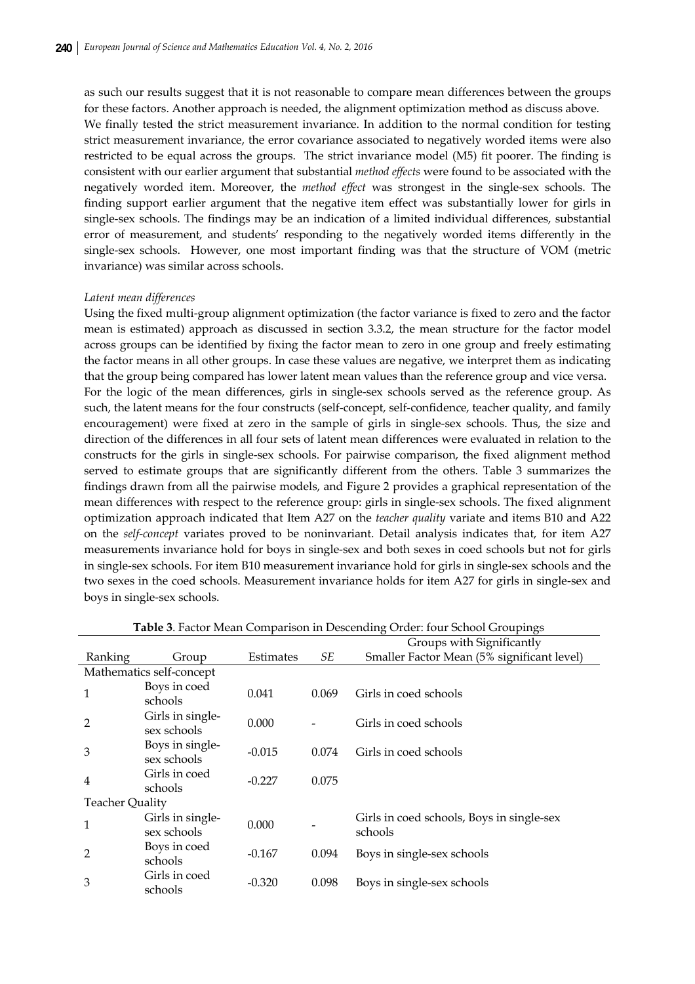as such our results suggest that it is not reasonable to compare mean differences between the groups for these factors. Another approach is needed, the alignment optimization method as discuss above. We finally tested the strict measurement invariance. In addition to the normal condition for testing strict measurement invariance, the error covariance associated to negatively worded items were also restricted to be equal across the groups. The strict invariance model (M5) fit poorer. The finding is consistent with our earlier argument that substantial *method effects* were found to be associated with the negatively worded item. Moreover, the *method effect* was strongest in the single‐sex schools. The finding support earlier argument that the negative item effect was substantially lower for girls in single‐sex schools. The findings may be an indication of a limited individual differences, substantial error of measurement, and students' responding to the negatively worded items differently in the single-sex schools. However, one most important finding was that the structure of VOM (metric invariance) was similar across schools.

#### *Latent mean differences*

Using the fixed multi‐group alignment optimization (the factor variance is fixed to zero and the factor mean is estimated) approach as discussed in section 3.3.2, the mean structure for the factor model across groups can be identified by fixing the factor mean to zero in one group and freely estimating the factor means in all other groups. In case these values are negative, we interpret them as indicating that the group being compared has lower latent mean values than the reference group and vice versa. For the logic of the mean differences, girls in single‐sex schools served as the reference group. As such, the latent means for the four constructs (self-concept, self-confidence, teacher quality, and family encouragement) were fixed at zero in the sample of girls in single‐sex schools. Thus, the size and direction of the differences in all four sets of latent mean differences were evaluated in relation to the constructs for the girls in single‐sex schools. For pairwise comparison, the fixed alignment method served to estimate groups that are significantly different from the others. Table 3 summarizes the findings drawn from all the pairwise models, and Figure 2 provides a graphical representation of the mean differences with respect to the reference group: girls in single‐sex schools. The fixed alignment optimization approach indicated that Item A27 on the *teacher quality* variate and items B10 and A22 on the *self‐concept* variates proved to be noninvariant. Detail analysis indicates that, for item A27 measurements invariance hold for boys in single‐sex and both sexes in coed schools but not for girls in single‐sex schools. For item B10 measurement invariance hold for girls in single‐sex schools and the two sexes in the coed schools. Measurement invariance holds for item A27 for girls in single‐sex and boys in single‐sex schools.

|                        |                                 |           |       | Groups with Significantly                            |  |  |
|------------------------|---------------------------------|-----------|-------|------------------------------------------------------|--|--|
| Ranking                | Group                           | Estimates | SЕ    | Smaller Factor Mean (5% significant level)           |  |  |
|                        | Mathematics self-concept        |           |       |                                                      |  |  |
| $\mathbf{1}$           | Boys in coed<br>schools         | 0.041     | 0.069 | Girls in coed schools                                |  |  |
| $\overline{2}$         | Girls in single-<br>sex schools | 0.000     |       | Girls in coed schools                                |  |  |
| 3                      | Boys in single-<br>sex schools  | $-0.015$  | 0.074 | Girls in coed schools                                |  |  |
| $\overline{4}$         | Girls in coed<br>schools        | $-0.227$  | 0.075 |                                                      |  |  |
| <b>Teacher Quality</b> |                                 |           |       |                                                      |  |  |
| $\mathbf{1}$           | Girls in single-<br>sex schools | 0.000     |       | Girls in coed schools, Boys in single-sex<br>schools |  |  |
| $\overline{2}$         | Boys in coed<br>schools         | $-0.167$  | 0.094 | Boys in single-sex schools                           |  |  |
| 3                      | Girls in coed<br>schools        | $-0.320$  | 0.098 | Boys in single-sex schools                           |  |  |

**Table 3**. Factor Mean Comparison in Descending Order: four School Groupings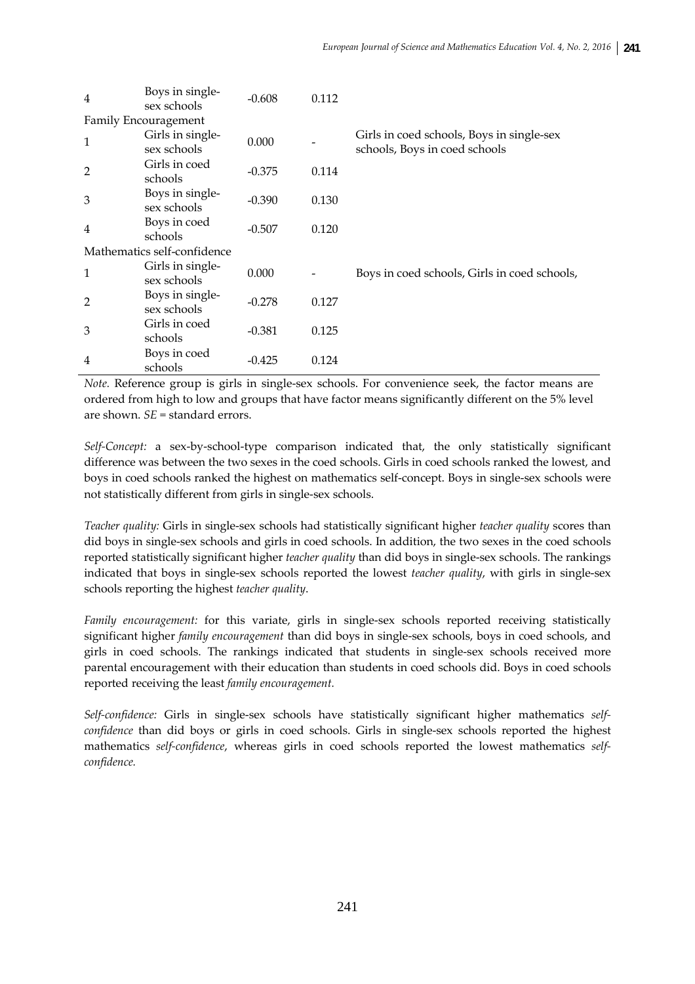| $\overline{4}$ | Boys in single-<br>sex schools  | $-0.608$ | 0.112 |                                                                            |
|----------------|---------------------------------|----------|-------|----------------------------------------------------------------------------|
|                | Family Encouragement            |          |       |                                                                            |
| $\mathbf{1}$   | Girls in single-<br>sex schools | 0.000    |       | Girls in coed schools, Boys in single-sex<br>schools, Boys in coed schools |
| $\overline{2}$ | Girls in coed<br>schools        | $-0.375$ | 0.114 |                                                                            |
| 3              | Boys in single-<br>sex schools  | $-0.390$ | 0.130 |                                                                            |
| $\overline{4}$ | Boys in coed<br>schools         | $-0.507$ | 0.120 |                                                                            |
|                | Mathematics self-confidence     |          |       |                                                                            |
| $\mathbf{1}$   | Girls in single-<br>sex schools | 0.000    |       | Boys in coed schools, Girls in coed schools,                               |
| $\overline{2}$ | Boys in single-<br>sex schools  | $-0.278$ | 0.127 |                                                                            |
| 3              | Girls in coed<br>schools        | $-0.381$ | 0.125 |                                                                            |
| $\overline{4}$ | Boys in coed<br>schools         | $-0.425$ | 0.124 |                                                                            |

*Note.* Reference group is girls in single-sex schools. For convenience seek, the factor means are ordered from high to low and groups that have factor means significantly different on the 5% level are shown. *SE* = standard errors.

*Self‐Concept:* a sex‐by‐school‐type comparison indicated that, the only statistically significant difference was between the two sexes in the coed schools. Girls in coed schools ranked the lowest, and boys in coed schools ranked the highest on mathematics self‐concept. Boys in single‐sex schools were not statistically different from girls in single‐sex schools.

*Teacher quality:* Girls in single‐sex schools had statistically significant higher *teacher quality* scores than did boys in single‐sex schools and girls in coed schools. In addition, the two sexes in the coed schools reported statistically significant higher *teacher quality* than did boys in single‐sex schools. The rankings indicated that boys in single‐sex schools reported the lowest *teacher quality*, with girls in single‐sex schools reporting the highest *teacher quality*.

*Family encouragement*: for this variate, girls in single-sex schools reported receiving statistically significant higher *family encouragement* than did boys in single‐sex schools, boys in coed schools, and girls in coed schools. The rankings indicated that students in single‐sex schools received more parental encouragement with their education than students in coed schools did. Boys in coed schools reported receiving the least *family encouragement.*

*Self‐confidence:* Girls in single‐sex schools have statistically significant higher mathematics *self‐ confidence* than did boys or girls in coed schools. Girls in single-sex schools reported the highest mathematics *self‐confidence*, whereas girls in coed schools reported the lowest mathematics *self‐ confidence.*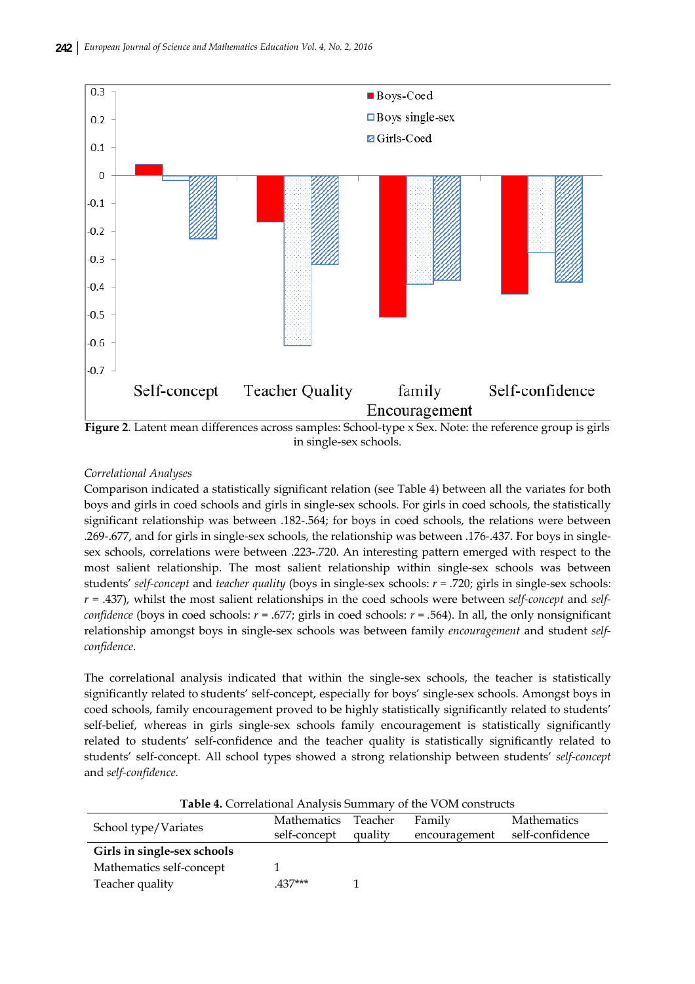

**Figure 2**. Latent mean differences across samples: School-type x Sex. Note: the reference group is girls in single-sex schools.

# *Correlational Analyses*

Comparison indicated a statistically significant relation (see Table 4) between all the variates for both boys and girls in coed schools and girls in single‐sex schools. For girls in coed schools, the statistically significant relationship was between .182‐.564; for boys in coed schools, the relations were between .269‐.677, and for girls in single‐sex schools, the relationship was between .176‐.437. For boys in single‐ sex schools, correlations were between .223‐.720. An interesting pattern emerged with respect to the most salient relationship. The most salient relationship within single-sex schools was between students' *self‐concept* and *teacher quality* (boys in single‐sex schools: *r* = .720; girls in single‐sex schools: *r* = .437), whilst the most salient relationships in the coed schools were between *self‐concept* and *self‐ confidence* (boys in coed schools:  $r = .677$ ; girls in coed schools:  $r = .564$ ). In all, the only nonsignificant relationship amongst boys in single‐sex schools was between family *encouragement* and student *self‐ confidence*.

The correlational analysis indicated that within the single-sex schools, the teacher is statistically significantly related to students' self-concept, especially for boys' single-sex schools. Amongst boys in coed schools, family encouragement proved to be highly statistically significantly related to students' self-belief, whereas in girls single-sex schools family encouragement is statistically significantly related to students' self‐confidence and the teacher quality is statistically significantly related to students' self‐concept. All school types showed a strong relationship between students' *self‐concept* and *self‐confidence.*

| <b>Table 4.</b> Correlational Analysis Summary of the VOM constructs |              |         |               |                    |  |  |  |
|----------------------------------------------------------------------|--------------|---------|---------------|--------------------|--|--|--|
|                                                                      | Mathematics  | Teacher | Family        | <b>Mathematics</b> |  |  |  |
| School type/Variates                                                 | self-concept | quality | encouragement | self-confidence    |  |  |  |
| Girls in single-sex schools                                          |              |         |               |                    |  |  |  |
| Mathematics self-concept                                             |              |         |               |                    |  |  |  |
| Teacher quality                                                      | $437***$     |         |               |                    |  |  |  |

**Table 4.** Correlational Analysis Summary of the VOM constructs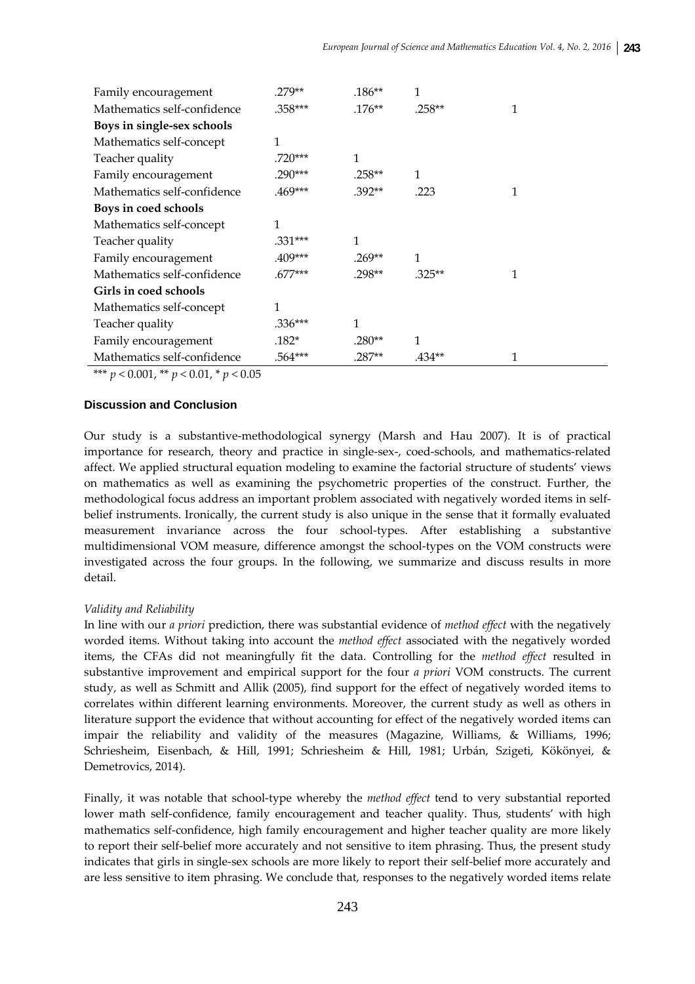| Family encouragement        | 279**     | $.186***$ | 1        |   |
|-----------------------------|-----------|-----------|----------|---|
| Mathematics self-confidence | .358***   | $.176**$  | $.258**$ | 1 |
| Boys in single-sex schools  |           |           |          |   |
| Mathematics self-concept    | 1         |           |          |   |
| Teacher quality             | 720***    | 1         |          |   |
| Family encouragement        | 290***    | $.258**$  | 1        |   |
| Mathematics self-confidence | .469***   | $.392**$  | .223     | 1 |
| Boys in coed schools        |           |           |          |   |
| Mathematics self-concept    | 1         |           |          |   |
| Teacher quality             | .331***   | 1         |          |   |
| Family encouragement        | .409***   | $.269**$  | 1        |   |
| Mathematics self-confidence | $.677***$ | $.298**$  | $.325**$ |   |
| Girls in coed schools       |           |           |          |   |
| Mathematics self-concept    | 1         |           |          |   |
| Teacher quality             | .336***   | 1         |          |   |
| Family encouragement        | .182*     | $.280**$  | 1        |   |
| Mathematics self-confidence | .564***   | $.287**$  | .434**   |   |

\*\*\*  $p < 0.001$ , \*\*  $p < 0.01$ , \*  $p < 0.05$ 

# **Discussion and Conclusion**

Our study is a substantive‐methodological synergy (Marsh and Hau 2007). It is of practical importance for research, theory and practice in single-sex-, coed-schools, and mathematics-related affect. We applied structural equation modeling to examine the factorial structure of students' views on mathematics as well as examining the psychometric properties of the construct. Further, the methodological focus address an important problem associated with negatively worded items in self‐ belief instruments. Ironically, the current study is also unique in the sense that it formally evaluated measurement invariance across the four school-types. After establishing a substantive multidimensional VOM measure, difference amongst the school-types on the VOM constructs were investigated across the four groups. In the following, we summarize and discuss results in more detail.

## *Validity and Reliability*

In line with our *a priori* prediction, there was substantial evidence of *method effect* with the negatively worded items. Without taking into account the *method effect* associated with the negatively worded items, the CFAs did not meaningfully fit the data. Controlling for the *method effect* resulted in substantive improvement and empirical support for the four *a priori* VOM constructs. The current study, as well as Schmitt and Allik (2005), find support for the effect of negatively worded items to correlates within different learning environments. Moreover, the current study as well as others in literature support the evidence that without accounting for effect of the negatively worded items can impair the reliability and validity of the measures (Magazine, Williams, & Williams, 1996; Schriesheim, Eisenbach, & Hill, 1991; Schriesheim & Hill, 1981; Urbán, Szigeti, Kökönyei, & Demetrovics, 2014).

Finally, it was notable that school-type whereby the *method effect* tend to very substantial reported lower math self-confidence, family encouragement and teacher quality. Thus, students' with high mathematics self‐confidence, high family encouragement and higher teacher quality are more likely to report their self-belief more accurately and not sensitive to item phrasing. Thus, the present study indicates that girls in single-sex schools are more likely to report their self-belief more accurately and are less sensitive to item phrasing. We conclude that, responses to the negatively worded items relate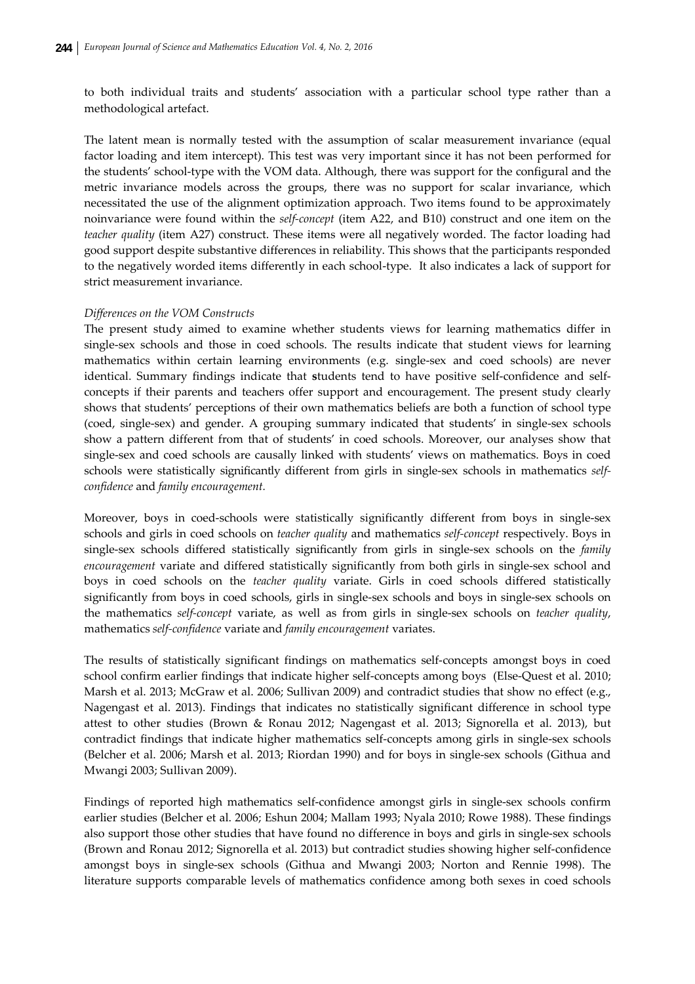to both individual traits and students' association with a particular school type rather than a methodological artefact.

The latent mean is normally tested with the assumption of scalar measurement invariance (equal factor loading and item intercept). This test was very important since it has not been performed for the students' school‐type with the VOM data. Although, there was support for the configural and the metric invariance models across the groups, there was no support for scalar invariance, which necessitated the use of the alignment optimization approach. Two items found to be approximately noinvariance were found within the *self‐concept* (item A22, and B10) construct and one item on the *teacher quality* (item A27) construct. These items were all negatively worded. The factor loading had good support despite substantive differences in reliability. This shows that the participants responded to the negatively worded items differently in each school-type. It also indicates a lack of support for strict measurement invariance.

## *Differences on the VOM Constructs*

The present study aimed to examine whether students views for learning mathematics differ in single-sex schools and those in coed schools. The results indicate that student views for learning mathematics within certain learning environments (e.g. single-sex and coed schools) are never identical. Summary findings indicate that **s**tudents tend to have positive self‐confidence and self‐ concepts if their parents and teachers offer support and encouragement. The present study clearly shows that students' perceptions of their own mathematics beliefs are both a function of school type (coed, single‐sex) and gender. A grouping summary indicated that students' in single‐sex schools show a pattern different from that of students' in coed schools. Moreover, our analyses show that single‐sex and coed schools are causally linked with students' views on mathematics. Boys in coed schools were statistically significantly different from girls in single‐sex schools in mathematics *self‐ confidence* and *family encouragement.* 

Moreover, boys in coed-schools were statistically significantly different from boys in single-sex schools and girls in coed schools on *teacher quality* and mathematics *self‐concept* respectively. Boys in single‐sex schools differed statistically significantly from girls in single‐sex schools on the *family encouragement* variate and differed statistically significantly from both girls in single-sex school and boys in coed schools on the *teacher quality* variate. Girls in coed schools differed statistically significantly from boys in coed schools, girls in single‐sex schools and boys in single‐sex schools on the mathematics *self‐concept* variate, as well as from girls in single‐sex schools on *teacher quality*, mathematics *self‐confidence* variate and *family encouragement* variates.

The results of statistically significant findings on mathematics self‐concepts amongst boys in coed school confirm earlier findings that indicate higher self-concepts among boys (Else-Quest et al. 2010; Marsh et al. 2013; McGraw et al. 2006; Sullivan 2009) and contradict studies that show no effect (e.g., Nagengast et al. 2013). Findings that indicates no statistically significant difference in school type attest to other studies (Brown & Ronau 2012; Nagengast et al. 2013; Signorella et al. 2013), but contradict findings that indicate higher mathematics self-concepts among girls in single-sex schools (Belcher et al. 2006; Marsh et al. 2013; Riordan 1990) and for boys in single‐sex schools (Githua and Mwangi 2003; Sullivan 2009).

Findings of reported high mathematics self‐confidence amongst girls in single‐sex schools confirm earlier studies (Belcher et al. 2006; Eshun 2004; Mallam 1993; Nyala 2010; Rowe 1988). These findings also support those other studies that have found no difference in boys and girls in single‐sex schools (Brown and Ronau 2012; Signorella et al. 2013) but contradict studies showing higher self‐confidence amongst boys in single‐sex schools (Githua and Mwangi 2003; Norton and Rennie 1998). The literature supports comparable levels of mathematics confidence among both sexes in coed schools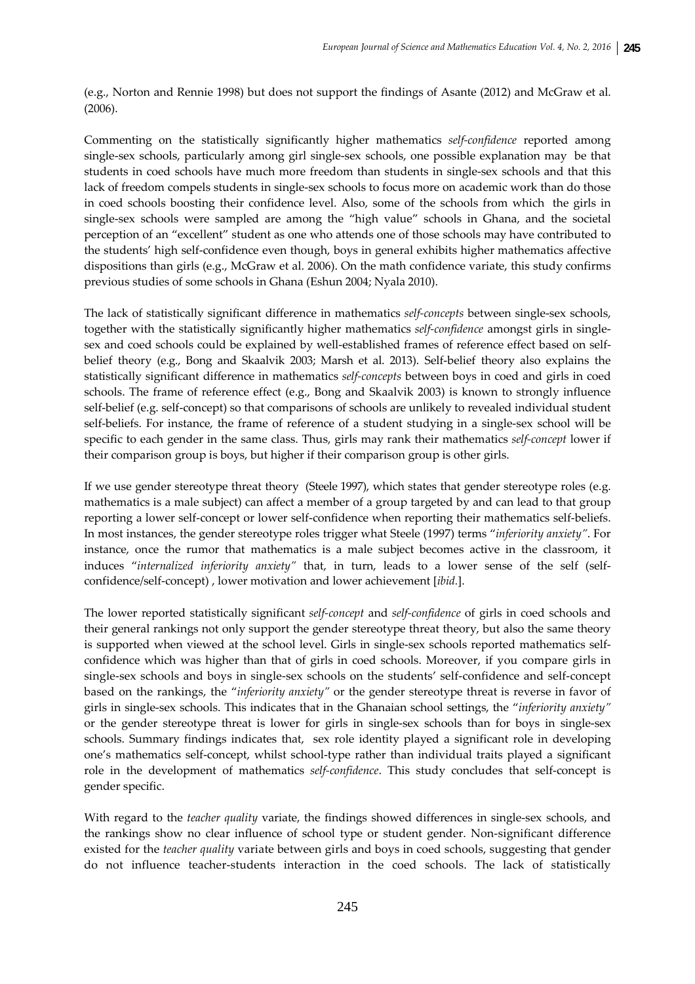(e.g., Norton and Rennie 1998) but does not support the findings of Asante (2012) and McGraw et al. (2006).

Commenting on the statistically significantly higher mathematics *self‐confidence* reported among single-sex schools, particularly among girl single-sex schools, one possible explanation may be that students in coed schools have much more freedom than students in single‐sex schools and that this lack of freedom compels students in single‐sex schools to focus more on academic work than do those in coed schools boosting their confidence level. Also, some of the schools from which the girls in single-sex schools were sampled are among the "high value" schools in Ghana, and the societal perception of an "excellent" student as one who attends one of those schools may have contributed to the students' high self‐confidence even though, boys in general exhibits higher mathematics affective dispositions than girls (e.g., McGraw et al. 2006). On the math confidence variate, this study confirms previous studies of some schools in Ghana (Eshun 2004; Nyala 2010).

The lack of statistically significant difference in mathematics *self‐concepts* between single‐sex schools, together with the statistically significantly higher mathematics *self‐confidence* amongst girls in single‐ sex and coed schools could be explained by well-established frames of reference effect based on selfbelief theory (e.g., Bong and Skaalvik 2003; Marsh et al. 2013). Self-belief theory also explains the statistically significant difference in mathematics *self‐concepts* between boys in coed and girls in coed schools. The frame of reference effect (e.g., Bong and Skaalvik 2003) is known to strongly influence self-belief (e.g. self-concept) so that comparisons of schools are unlikely to revealed individual student self-beliefs. For instance, the frame of reference of a student studying in a single-sex school will be specific to each gender in the same class. Thus, girls may rank their mathematics *self‐concept* lower if their comparison group is boys, but higher if their comparison group is other girls.

If we use gender stereotype threat theory (Steele 1997), which states that gender stereotype roles (e.g. mathematics is a male subject) can affect a member of a group targeted by and can lead to that group reporting a lower self‐concept or lower self‐confidence when reporting their mathematics self‐beliefs. In most instances, the gender stereotype roles trigger what Steele (1997) terms "*inferiority anxiety"*. For instance, once the rumor that mathematics is a male subject becomes active in the classroom, it induces "*internalized inferiority anxiety"* that, in turn, leads to a lower sense of the self (self‐ confidence/self‐concept) , lower motivation and lower achievement [*ibid.*].

The lower reported statistically significant *self‐concept* and *self‐confidence* of girls in coed schools and their general rankings not only support the gender stereotype threat theory, but also the same theory is supported when viewed at the school level. Girls in single-sex schools reported mathematics selfconfidence which was higher than that of girls in coed schools. Moreover, if you compare girls in single-sex schools and boys in single-sex schools on the students' self-confidence and self-concept based on the rankings, the "*inferiority anxiety"* or the gender stereotype threat is reverse in favor of girls in single‐sex schools. This indicates that in the Ghanaian school settings, the "*inferiority anxiety"* or the gender stereotype threat is lower for girls in single‐sex schools than for boys in single‐sex schools. Summary findings indicates that, sex role identity played a significant role in developing one's mathematics self‐concept, whilst school‐type rather than individual traits played a significant role in the development of mathematics *self‐confidence*. This study concludes that self‐concept is gender specific.

With regard to the *teacher quality* variate, the findings showed differences in single-sex schools, and the rankings show no clear influence of school type or student gender. Non-significant difference existed for the *teacher quality* variate between girls and boys in coed schools, suggesting that gender do not influence teacher‐students interaction in the coed schools. The lack of statistically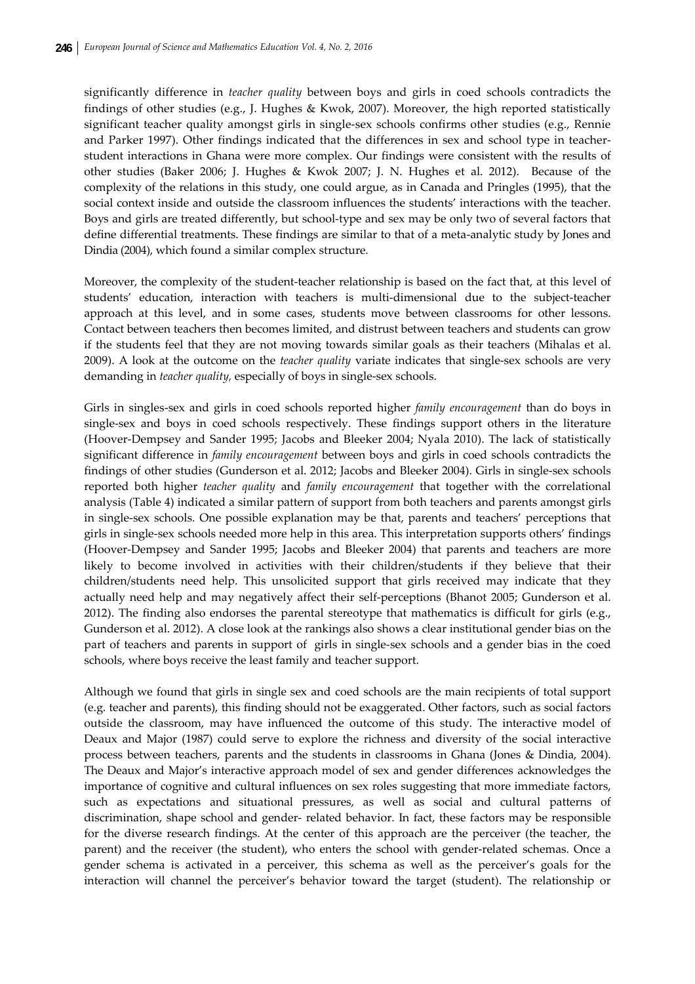significantly difference in *teacher quality* between boys and girls in coed schools contradicts the findings of other studies (e.g., J. Hughes & Kwok, 2007). Moreover, the high reported statistically significant teacher quality amongst girls in single-sex schools confirms other studies (e.g., Rennie and Parker 1997). Other findings indicated that the differences in sex and school type in teacher‐ student interactions in Ghana were more complex. Our findings were consistent with the results of other studies (Baker 2006; J. Hughes & Kwok 2007; J. N. Hughes et al. 2012). Because of the complexity of the relations in this study, one could argue, as in Canada and Pringles (1995), that the social context inside and outside the classroom influences the students' interactions with the teacher. Boys and girls are treated differently, but school‐type and sex may be only two of several factors that define differential treatments. These findings are similar to that of a meta‐analytic study by Jones and Dindia (2004), which found a similar complex structure.

Moreover, the complexity of the student-teacher relationship is based on the fact that, at this level of students' education, interaction with teachers is multi‐dimensional due to the subject‐teacher approach at this level, and in some cases, students move between classrooms for other lessons. Contact between teachers then becomes limited, and distrust between teachers and students can grow if the students feel that they are not moving towards similar goals as their teachers (Mihalas et al. 2009). A look at the outcome on the *teacher quality* variate indicates that single‐sex schools are very demanding in *teacher quality,* especially of boys in single‐sex schools.

Girls in singles‐sex and girls in coed schools reported higher *family encouragement* than do boys in single-sex and boys in coed schools respectively. These findings support others in the literature (Hoover‐Dempsey and Sander 1995; Jacobs and Bleeker 2004; Nyala 2010). The lack of statistically significant difference in *family encouragement* between boys and girls in coed schools contradicts the findings of other studies (Gunderson et al. 2012; Jacobs and Bleeker 2004). Girls in single‐sex schools reported both higher *teacher quality* and *family encouragement* that together with the correlational analysis (Table 4) indicated a similar pattern of support from both teachers and parents amongst girls in single‐sex schools. One possible explanation may be that, parents and teachers' perceptions that girls in single‐sex schools needed more help in this area. This interpretation supports others' findings (Hoover‐Dempsey and Sander 1995; Jacobs and Bleeker 2004) that parents and teachers are more likely to become involved in activities with their children/students if they believe that their children/students need help. This unsolicited support that girls received may indicate that they actually need help and may negatively affect their self‐perceptions (Bhanot 2005; Gunderson et al. 2012). The finding also endorses the parental stereotype that mathematics is difficult for girls (e.g., Gunderson et al. 2012). A close look at the rankings also shows a clear institutional gender bias on the part of teachers and parents in support of girls in single‐sex schools and a gender bias in the coed schools, where boys receive the least family and teacher support.

Although we found that girls in single sex and coed schools are the main recipients of total support (e.g. teacher and parents), this finding should not be exaggerated. Other factors, such as social factors outside the classroom, may have influenced the outcome of this study. The interactive model of Deaux and Major (1987) could serve to explore the richness and diversity of the social interactive process between teachers, parents and the students in classrooms in Ghana (Jones & Dindia, 2004). The Deaux and Major's interactive approach model of sex and gender differences acknowledges the importance of cognitive and cultural influences on sex roles suggesting that more immediate factors, such as expectations and situational pressures, as well as social and cultural patterns of discrimination, shape school and gender‐ related behavior. In fact, these factors may be responsible for the diverse research findings. At the center of this approach are the perceiver (the teacher, the parent) and the receiver (the student), who enters the school with gender-related schemas. Once a gender schema is activated in a perceiver, this schema as well as the perceiver's goals for the interaction will channel the perceiver's behavior toward the target (student). The relationship or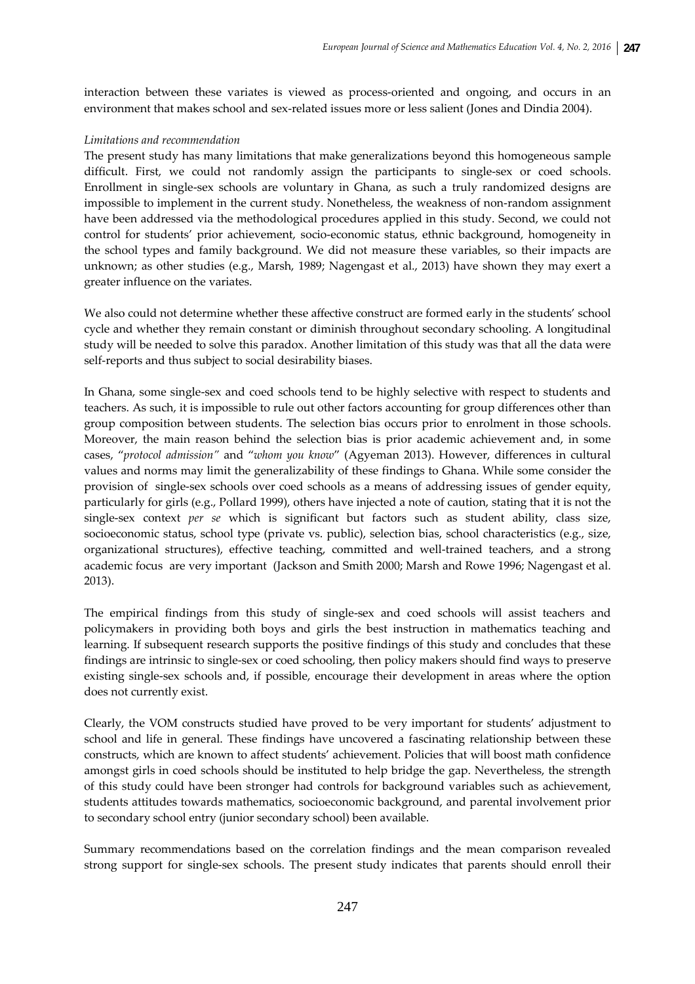interaction between these variates is viewed as process-oriented and ongoing, and occurs in an environment that makes school and sex-related issues more or less salient (Jones and Dindia 2004).

## *Limitations and recommendation*

The present study has many limitations that make generalizations beyond this homogeneous sample difficult. First, we could not randomly assign the participants to single-sex or coed schools. Enrollment in single‐sex schools are voluntary in Ghana, as such a truly randomized designs are impossible to implement in the current study. Nonetheless, the weakness of non-random assignment have been addressed via the methodological procedures applied in this study. Second, we could not control for students' prior achievement, socio‐economic status, ethnic background, homogeneity in the school types and family background. We did not measure these variables, so their impacts are unknown; as other studies (e.g., Marsh, 1989; Nagengast et al., 2013) have shown they may exert a greater influence on the variates.

We also could not determine whether these affective construct are formed early in the students' school cycle and whether they remain constant or diminish throughout secondary schooling. A longitudinal study will be needed to solve this paradox. Another limitation of this study was that all the data were self-reports and thus subject to social desirability biases.

In Ghana, some single‐sex and coed schools tend to be highly selective with respect to students and teachers. As such, it is impossible to rule out other factors accounting for group differences other than group composition between students. The selection bias occurs prior to enrolment in those schools. Moreover, the main reason behind the selection bias is prior academic achievement and, in some cases, "*protocol admission"* and "*whom you know*" (Agyeman 2013). However, differences in cultural values and norms may limit the generalizability of these findings to Ghana. While some consider the provision of single‐sex schools over coed schools as a means of addressing issues of gender equity, particularly for girls (e.g., Pollard 1999), others have injected a note of caution, stating that it is not the single‐sex context *per se* which is significant but factors such as student ability, class size, socioeconomic status, school type (private vs. public), selection bias, school characteristics (e.g., size, organizational structures), effective teaching, committed and well‐trained teachers, and a strong academic focus are very important (Jackson and Smith 2000; Marsh and Rowe 1996; Nagengast et al. 2013).

The empirical findings from this study of single-sex and coed schools will assist teachers and policymakers in providing both boys and girls the best instruction in mathematics teaching and learning. If subsequent research supports the positive findings of this study and concludes that these findings are intrinsic to single‐sex or coed schooling, then policy makers should find ways to preserve existing single‐sex schools and, if possible, encourage their development in areas where the option does not currently exist.

Clearly, the VOM constructs studied have proved to be very important for students' adjustment to school and life in general. These findings have uncovered a fascinating relationship between these constructs, which are known to affect students' achievement. Policies that will boost math confidence amongst girls in coed schools should be instituted to help bridge the gap. Nevertheless, the strength of this study could have been stronger had controls for background variables such as achievement, students attitudes towards mathematics, socioeconomic background, and parental involvement prior to secondary school entry (junior secondary school) been available.

Summary recommendations based on the correlation findings and the mean comparison revealed strong support for single‐sex schools. The present study indicates that parents should enroll their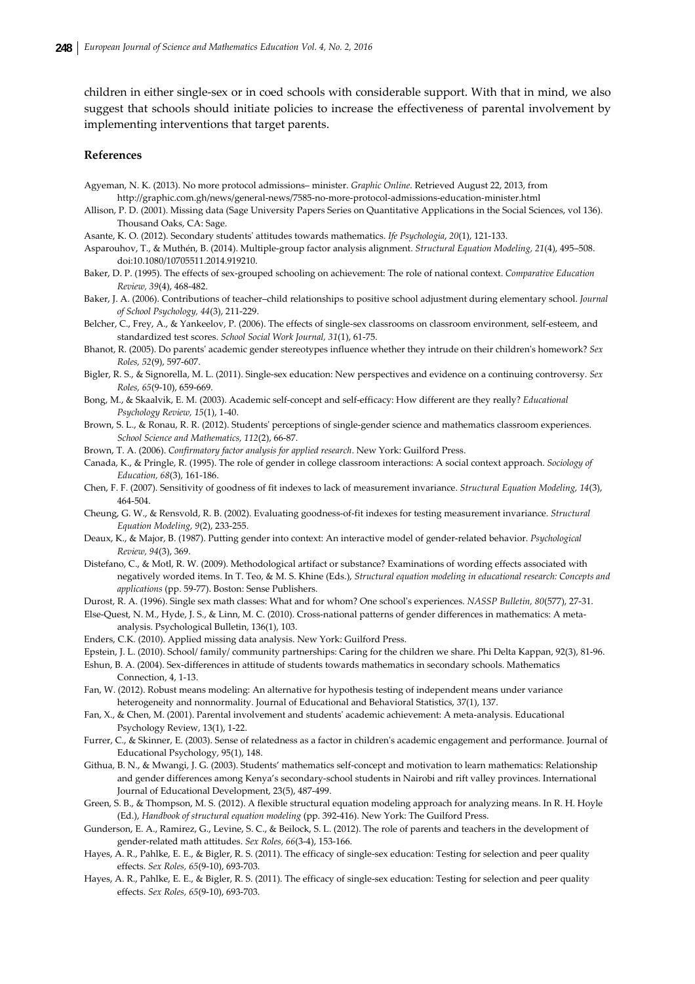children in either single‐sex or in coed schools with considerable support. With that in mind, we also suggest that schools should initiate policies to increase the effectiveness of parental involvement by implementing interventions that target parents.

#### **References**

Agyeman, N. K. (2013). No more protocol admissions– minister. *Graphic Online*. Retrieved August 22, 2013, from http://graphic.com.gh/news/general‐news/7585‐no‐more‐protocol‐admissions‐education‐minister.html

- Allison, P. D. (2001). Missing data (Sage University Papers Series on Quantitative Applications in the Social Sciences, vol 136). Thousand Oaks, CA: Sage.
- Asante, K. O. (2012). Secondary studentsʹ attitudes towards mathematics. *Ife Psychologia*, *20*(1), 121‐133.
- Asparouhov, T., & Muthén, B. (2014). Multiple‐group factor analysis alignment. *Structural Equation Modeling, 21*(4), 495–508. doi:10.1080/10705511.2014.919210.
- Baker, D. P. (1995). The effects of sex‐grouped schooling on achievement: The role of national context. *Comparative Education Review, 39*(4), 468‐482.
- Baker, J. A. (2006). Contributions of teacher–child relationships to positive school adjustment during elementary school. *Journal of School Psychology, 44*(3), 211‐229.
- Belcher, C., Frey, A., & Yankeelov, P. (2006). The effects of single-sex classrooms on classroom environment, self-esteem, and standardized test scores. *School Social Work Journal, 31*(1), 61‐75.
- Bhanot, R. (2005). Do parentsʹ academic gender stereotypes influence whether they intrude on their childrenʹs homework? *Sex Roles, 52*(9), 597‐607.
- Bigler, R. S., & Signorella, M. L. (2011). Single‐sex education: New perspectives and evidence on a continuing controversy. *Sex Roles, 65*(9‐10), 659‐669.
- Bong, M., & Skaalvik, E. M. (2003). Academic self‐concept and self‐efficacy: How different are they really? *Educational Psychology Review, 15*(1), 1‐40.
- Brown, S. L., & Ronau, R. R. (2012). Students' perceptions of single-gender science and mathematics classroom experiences. *School Science and Mathematics, 112*(2), 66‐87.
- Brown, T. A. (2006). *Confirmatory factor analysis for applied research*. New York: Guilford Press.
- Canada, K., & Pringle, R. (1995). The role of gender in college classroom interactions: A social context approach. *Sociology of Education, 68*(3), 161‐186.
- Chen, F. F. (2007). Sensitivity of goodness of fit indexes to lack of measurement invariance. *Structural Equation Modeling, 14*(3), 464‐504.
- Cheung, G. W., & Rensvold, R. B. (2002). Evaluating goodness‐of‐fit indexes for testing measurement invariance. *Structural Equation Modeling, 9*(2), 233‐255.
- Deaux, K., & Major, B. (1987). Putting gender into context: An interactive model of gender‐related behavior. *Psychological Review, 94*(3), 369.
- Distefano, C., & Motl, R. W. (2009). Methodological artifact or substance? Examinations of wording effects associated with negatively worded items. In T. Teo, & M. S. Khine (Eds.), *Structural equation modeling in educational research: Concepts and applications* (pp. 59‐77). Boston: Sense Publishers.
- Durost, R. A. (1996). Single sex math classes: What and for whom? One schoolʹs experiences. *NASSP Bulletin, 80*(577), 27‐31.
- Else-Quest, N. M., Hyde, J. S., & Linn, M. C. (2010). Cross-national patterns of gender differences in mathematics: A metaanalysis. Psychological Bulletin, 136(1), 103.
- Enders, C.K. (2010). Applied missing data analysis. New York: Guilford Press.
- Epstein, J. L. (2010). School/ family/ community partnerships: Caring for the children we share. Phi Delta Kappan, 92(3), 81‐96.
- Eshun, B. A. (2004). Sex-differences in attitude of students towards mathematics in secondary schools. Mathematics Connection, 4, 1‐13.
- Fan, W. (2012). Robust means modeling: An alternative for hypothesis testing of independent means under variance heterogeneity and nonnormality. Journal of Educational and Behavioral Statistics, 37(1), 137.
- Fan, X., & Chen, M. (2001). Parental involvement and studentsʹ academic achievement: A meta‐analysis. Educational Psychology Review, 13(1), 1‐22.
- Furrer, C., & Skinner, E. (2003). Sense of relatedness as a factor in children's academic engagement and performance. Journal of Educational Psychology, 95(1), 148.
- Githua, B. N., & Mwangi, J. G. (2003). Students' mathematics self‐concept and motivation to learn mathematics: Relationship and gender differences among Kenya's secondary‐school students in Nairobi and rift valley provinces. International Journal of Educational Development, 23(5), 487‐499.
- Green, S. B., & Thompson, M. S. (2012). A flexible structural equation modeling approach for analyzing means. In R. H. Hoyle (Ed.), *Handbook of structural equation modeling* (pp. 392‐416). New York: The Guilford Press.
- Gunderson, E. A., Ramirez, G., Levine, S. C., & Beilock, S. L. (2012). The role of parents and teachers in the development of gender‐related math attitudes. *Sex Roles, 66*(3‐4), 153‐166.
- Hayes, A. R., Pahlke, E. E., & Bigler, R. S. (2011). The efficacy of single-sex education: Testing for selection and peer quality effects. *Sex Roles, 65*(9‐10), 693‐703.
- Hayes, A. R., Pahlke, E. E., & Bigler, R. S. (2011). The efficacy of single‐sex education: Testing for selection and peer quality effects. *Sex Roles, 65*(9‐10), 693‐703.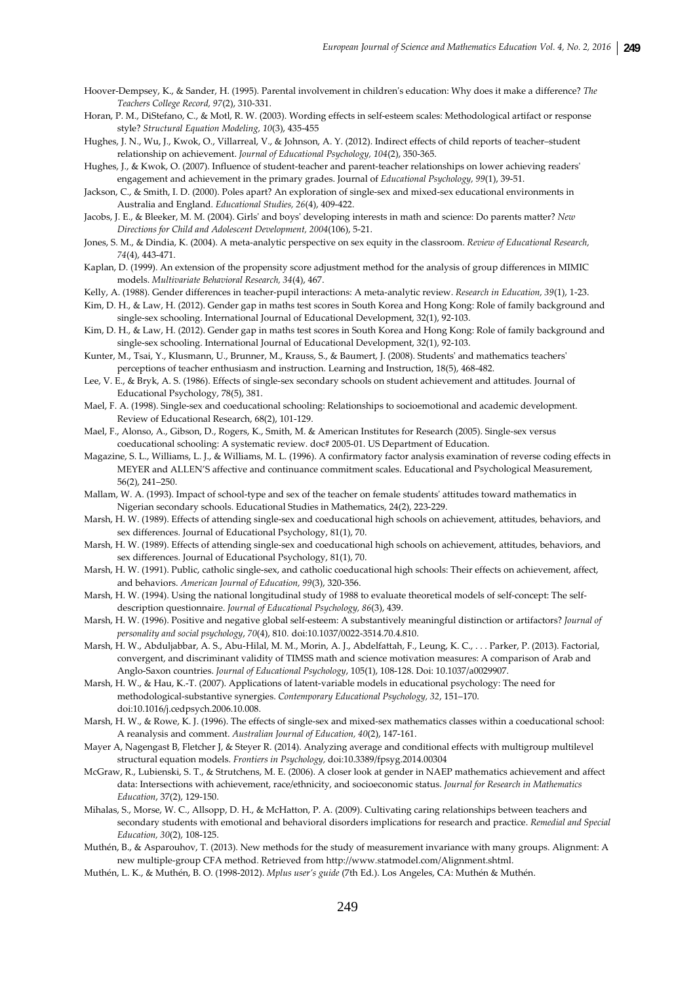Hoover‐Dempsey, K., & Sander, H. (1995). Parental involvement in childrenʹs education: Why does it make a difference? *The Teachers College Record, 97*(2), 310‐331.

- Horan, P. M., DiStefano, C., & Motl, R. W. (2003). Wording effects in self‐esteem scales: Methodological artifact or response style? *Structural Equation Modeling, 10*(3), 435‐455
- Hughes, J. N., Wu, J., Kwok, O., Villarreal, V., & Johnson, A. Y. (2012). Indirect effects of child reports of teacher–student relationship on achievement. *Journal of Educational Psychology, 104*(2), 350‐365.
- Hughes, J., & Kwok, O. (2007). Influence of student-teacher and parent-teacher relationships on lower achieving readers' engagement and achievement in the primary grades. Journal of *Educational Psychology, 99*(1), 39‐51.
- Jackson, C., & Smith, I. D. (2000). Poles apart? An exploration of single‐sex and mixed‐sex educational environments in Australia and England. *Educational Studies, 26*(4), 409‐422.
- Jacobs, J. E., & Bleeker, M. M. (2004). Girlsʹ and boysʹ developing interests in math and science: Do parents matter? *New Directions for Child and Adolescent Development, 2004*(106), 5‐21.
- Jones, S. M., & Dindia, K. (2004). A meta‐analytic perspective on sex equity in the classroom. *Review of Educational Research, 74*(4), 443‐471.
- Kaplan, D. (1999). An extension of the propensity score adjustment method for the analysis of group differences in MIMIC models. *Multivariate Behavioral Research, 34*(4), 467.
- Kelly, A. (1988). Gender differences in teacher‐pupil interactions: A meta‐analytic review. *Research in Education, 39*(1), 1‐23.
- Kim, D. H., & Law, H. (2012). Gender gap in maths test scores in South Korea and Hong Kong: Role of family background and single-sex schooling. International Journal of Educational Development, 32(1), 92-103.
- Kim, D. H., & Law, H. (2012). Gender gap in maths test scores in South Korea and Hong Kong: Role of family background and single-sex schooling. International Journal of Educational Development, 32(1), 92-103.
- Kunter, M., Tsai, Y., Klusmann, U., Brunner, M., Krauss, S., & Baumert, J. (2008). Students' and mathematics teachers' perceptions of teacher enthusiasm and instruction. Learning and Instruction, 18(5), 468‐482.
- Lee, V. E., & Bryk, A. S. (1986). Effects of single-sex secondary schools on student achievement and attitudes. Journal of Educational Psychology, 78(5), 381.
- Mael, F. A. (1998). Single‐sex and coeducational schooling: Relationships to socioemotional and academic development. Review of Educational Research, 68(2), 101‐129.
- Mael, F., Alonso, A., Gibson, D., Rogers, K., Smith, M. & American Institutes for Research (2005). Single-sex versus coeducational schooling: A systematic review. doc# 2005‐01. US Department of Education.
- Magazine, S. L., Williams, L. J., & Williams, M. L. (1996). A confirmatory factor analysis examination of reverse coding effects in MEYER and ALLEN'S affective and continuance commitment scales. Educational and Psychological Measurement, 56(2), 241–250.
- Mallam, W. A. (1993). Impact of school-type and sex of the teacher on female students' attitudes toward mathematics in Nigerian secondary schools. Educational Studies in Mathematics, 24(2), 223‐229.
- Marsh, H. W. (1989). Effects of attending single-sex and coeducational high schools on achievement, attitudes, behaviors, and sex differences. Journal of Educational Psychology, 81(1), 70.
- Marsh, H. W. (1989). Effects of attending single-sex and coeducational high schools on achievement, attitudes, behaviors, and sex differences. Journal of Educational Psychology, 81(1), 70.
- Marsh, H. W. (1991). Public, catholic single‐sex, and catholic coeducational high schools: Their effects on achievement, affect, and behaviors. *American Journal of Education, 99*(3), 320‐356.
- Marsh, H. W. (1994). Using the national longitudinal study of 1988 to evaluate theoretical models of self-concept: The selfdescription questionnaire. *Journal of Educational Psychology, 86*(3), 439.
- Marsh, H. W. (1996). Positive and negative global self‐esteem: A substantively meaningful distinction or artifactors? *Journal of personality and social psychology*, *70*(4), 810. doi:10.1037/0022‐3514.70.4.810.
- Marsh, H. W., Abduljabbar, A. S., Abu-Hilal, M. M., Morin, A. J., Abdelfattah, F., Leung, K. C., . . . Parker, P. (2013). Factorial, convergent, and discriminant validity of TIMSS math and science motivation measures: A comparison of Arab and Anglo‐Saxon countries. *Journal of Educational Psychology*, 105(1), 108‐128. Doi: 10.1037/a0029907.
- Marsh, H. W., & Hau, K.‐T. (2007). Applications of latent‐variable models in educational psychology: The need for methodological‐substantive synergies. *Contemporary Educational Psychology, 32*, 151–170. doi:10.1016/j.cedpsych.2006.10.008.
- Marsh, H. W., & Rowe, K. J. (1996). The effects of single-sex and mixed-sex mathematics classes within a coeducational school: A reanalysis and comment. *Australian Journal of Education, 40*(2), 147‐161.
- Mayer A, Nagengast B, Fletcher J, & Steyer R. (2014). Analyzing average and conditional effects with multigroup multilevel structural equation models. *Frontiers in Psychology,* doi:10.3389/fpsyg.2014.00304
- McGraw, R., Lubienski, S. T., & Strutchens, M. E. (2006). A closer look at gender in NAEP mathematics achievement and affect data: Intersections with achievement, race/ethnicity, and socioeconomic status. *Journal for Research in Mathematics Education*, 37(2), 129‐150.
- Mihalas, S., Morse, W. C., Allsopp, D. H., & McHatton, P. A. (2009). Cultivating caring relationships between teachers and secondary students with emotional and behavioral disorders implications for research and practice. *Remedial and Special Education, 30*(2), 108‐125.
- Muthén, B., & Asparouhov, T. (2013). New methods for the study of measurement invariance with many groups. Alignment: A new multiple‐group CFA method. Retrieved from http://www.statmodel.com/Alignment.shtml.
- Muthén, L. K., & Muthén, B. O. (1998‐2012). *Mplus user's guide* (7th Ed.). Los Angeles, CA: Muthén & Muthén.